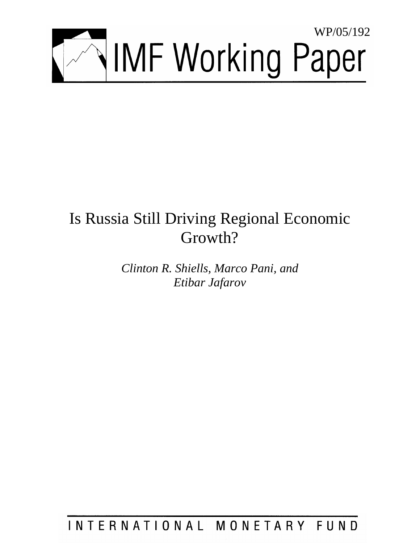

# Is Russia Still Driving Regional Economic Growth?

*Clinton R. Shiells, Marco Pani, and Etibar Jafarov* 

INTERNATIONAL MONETARY FUND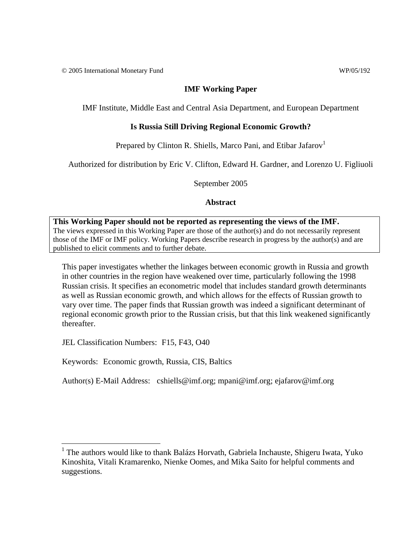© 2005 International Monetary Fund WP/05/192

# **IMF Working Paper**

IMF Institute, Middle East and Central Asia Department, and European Department

# **Is Russia Still Driving Regional Economic Growth?**

Prepared by Clinton R. Shiells, Marco Pani, and Etibar Jafarov<sup>1</sup>

Authorized for distribution by Eric V. Clifton, Edward H. Gardner, and Lorenzo U. Figliuoli

September 2005

**Abstract**

**This Working Paper should not be reported as representing the views of the IMF.** The views expressed in this Working Paper are those of the author(s) and do not necessarily represent those of the IMF or IMF policy. Working Papers describe research in progress by the author(s) and are published to elicit comments and to further debate.

This paper investigates whether the linkages between economic growth in Russia and growth in other countries in the region have weakened over time, particularly following the 1998 Russian crisis. It specifies an econometric model that includes standard growth determinants as well as Russian economic growth, and which allows for the effects of Russian growth to vary over time. The paper finds that Russian growth was indeed a significant determinant of regional economic growth prior to the Russian crisis, but that this link weakened significantly thereafter.

JEL Classification Numbers: F15, F43, O40

Keywords: Economic growth, Russia, CIS, Baltics

Author(s) E-Mail Address: cshiells@imf.org; mpani@imf.org; ejafarov@imf.org

 1 The authors would like to thank Balázs Horvath, Gabriela Inchauste, Shigeru Iwata, Yuko Kinoshita, Vitali Kramarenko, Nienke Oomes, and Mika Saito for helpful comments and suggestions.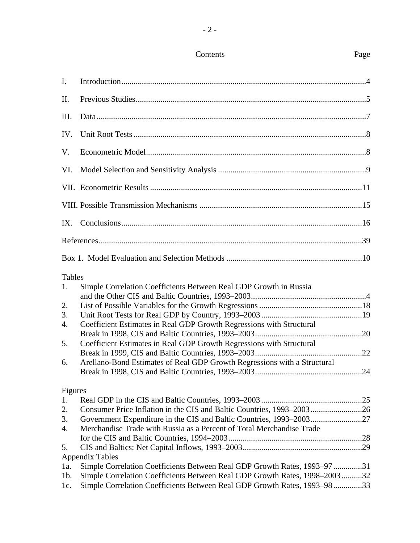# Contents Page

| I.      |                                                                            |
|---------|----------------------------------------------------------------------------|
| II.     |                                                                            |
| Ш.      |                                                                            |
| IV.     |                                                                            |
| V.      |                                                                            |
| VI.     |                                                                            |
|         |                                                                            |
|         |                                                                            |
| IX.     |                                                                            |
|         |                                                                            |
|         |                                                                            |
| Tables  |                                                                            |
| 1.      | Simple Correlation Coefficients Between Real GDP Growth in Russia          |
|         |                                                                            |
| 2.      |                                                                            |
| 3.      |                                                                            |
| 4.      | Coefficient Estimates in Real GDP Growth Regressions with Structural       |
|         |                                                                            |
| 5.      | Coefficient Estimates in Real GDP Growth Regressions with Structural       |
|         |                                                                            |
| 6.      | Arellano-Bond Estimates of Real GDP Growth Regressions with a Structural   |
|         |                                                                            |
| Figures |                                                                            |
| 1.      |                                                                            |
| 2.      |                                                                            |
| 3.      | Government Expenditure in the CIS and Baltic Countries, 1993-200327        |
| 4.      | Merchandise Trade with Russia as a Percent of Total Merchandise Trade      |
|         |                                                                            |
| 5.      |                                                                            |
|         | <b>Appendix Tables</b>                                                     |
| 1a.     | Simple Correlation Coefficients Between Real GDP Growth Rates, 1993–9731   |
| $1b$ .  | Simple Correlation Coefficients Between Real GDP Growth Rates, 1998–200332 |

1c. Simple Correlation Coefficients Between Real GDP Growth Rates, 1993–98 ..............33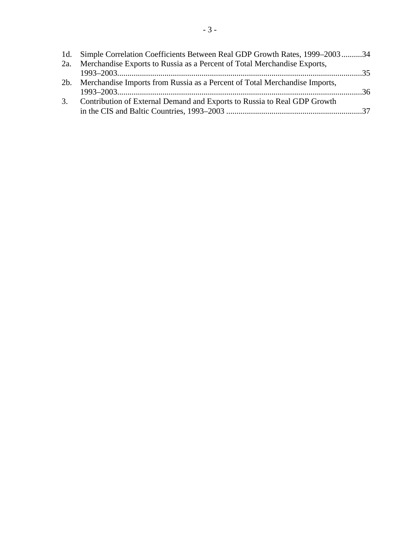|    | 1d. Simple Correlation Coefficients Between Real GDP Growth Rates, 1999–200334 |  |
|----|--------------------------------------------------------------------------------|--|
|    | 2a. Merchandise Exports to Russia as a Percent of Total Merchandise Exports,   |  |
|    |                                                                                |  |
|    | 2b. Merchandise Imports from Russia as a Percent of Total Merchandise Imports, |  |
|    |                                                                                |  |
| 3. | Contribution of External Demand and Exports to Russia to Real GDP Growth       |  |
|    |                                                                                |  |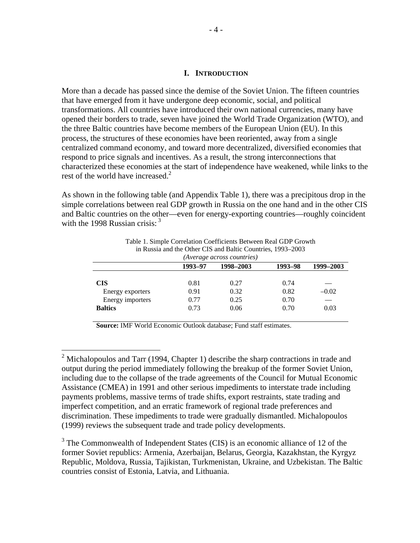### **I. INTRODUCTION**

More than a decade has passed since the demise of the Soviet Union. The fifteen countries that have emerged from it have undergone deep economic, social, and political transformations. All countries have introduced their own national currencies, many have opened their borders to trade, seven have joined the World Trade Organization (WTO), and the three Baltic countries have become members of the European Union (EU). In this process, the structures of these economies have been reoriented, away from a single centralized command economy, and toward more decentralized, diversified economies that respond to price signals and incentives. As a result, the strong interconnections that characterized these economies at the start of independence have weakened, while links to the rest of the world have increased.<sup>2</sup>

As shown in the following table (and Appendix Table 1), there was a precipitous drop in the simple correlations between real GDP growth in Russia on the one hand and in the other CIS and Baltic countries on the other—even for energy-exporting countries—roughly coincident with the 1998 Russian crisis:  $3\overline{3}$ 

|                  | 1993-97 | 1998-2003 | 1993-98 | 1999-2003 |
|------------------|---------|-----------|---------|-----------|
|                  |         |           |         |           |
| <b>CIS</b>       | 0.81    | 0.27      | 0.74    |           |
| Energy exporters | 0.91    | 0.32      | 0.82    | $-0.02$   |
| Energy importers | 0.77    | 0.25      | 0.70    |           |
| <b>Baltics</b>   | 0.73    | 0.06      | 0.70    | 0.03      |

Table 1. Simple Correlation Coefficients Between Real GDP Growth in Russia and the Other CIS and Baltic Countries, 1993–2003

**Source:** IMF World Economic Outlook database; Fund staff estimates.

 $\overline{a}$ 

<sup>3</sup> The Commonwealth of Independent States (CIS) is an economic alliance of 12 of the former Soviet republics: Armenia, Azerbaijan, Belarus, Georgia, Kazakhstan, the Kyrgyz Republic, Moldova, Russia, Tajikistan, Turkmenistan, Ukraine, and Uzbekistan. The Baltic countries consist of Estonia, Latvia, and Lithuania.

<sup>&</sup>lt;sup>2</sup> Michalopoulos and Tarr (1994, Chapter 1) describe the sharp contractions in trade and output during the period immediately following the breakup of the former Soviet Union, including due to the collapse of the trade agreements of the Council for Mutual Economic Assistance (CMEA) in 1991 and other serious impediments to interstate trade including payments problems, massive terms of trade shifts, export restraints, state trading and imperfect competition, and an erratic framework of regional trade preferences and discrimination. These impediments to trade were gradually dismantled. Michalopoulos (1999) reviews the subsequent trade and trade policy developments.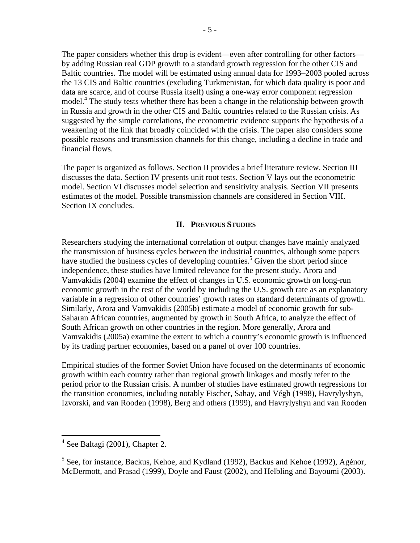The paper considers whether this drop is evident—even after controlling for other factors by adding Russian real GDP growth to a standard growth regression for the other CIS and Baltic countries. The model will be estimated using annual data for 1993–2003 pooled across the 13 CIS and Baltic countries (excluding Turkmenistan, for which data quality is poor and data are scarce, and of course Russia itself) using a one-way error component regression model.<sup>4</sup> The study tests whether there has been a change in the relationship between growth in Russia and growth in the other CIS and Baltic countries related to the Russian crisis. As suggested by the simple correlations, the econometric evidence supports the hypothesis of a weakening of the link that broadly coincided with the crisis. The paper also considers some possible reasons and transmission channels for this change, including a decline in trade and financial flows.

The paper is organized as follows. Section II provides a brief literature review. Section III discusses the data. Section IV presents unit root tests. Section V lays out the econometric model. Section VI discusses model selection and sensitivity analysis. Section VII presents estimates of the model. Possible transmission channels are considered in Section VIII. Section IX concludes.

## **II. PREVIOUS STUDIES**

Researchers studying the international correlation of output changes have mainly analyzed the transmission of business cycles between the industrial countries, although some papers have studied the business cycles of developing countries.<sup>5</sup> Given the short period since independence, these studies have limited relevance for the present study. Arora and Vamvakidis (2004) examine the effect of changes in U.S. economic growth on long-run economic growth in the rest of the world by including the U.S. growth rate as an explanatory variable in a regression of other countries' growth rates on standard determinants of growth. Similarly, Arora and Vamvakidis (2005b) estimate a model of economic growth for sub-Saharan African countries, augmented by growth in South Africa, to analyze the effect of South African growth on other countries in the region. More generally, Arora and Vamvakidis (2005a) examine the extent to which a country's economic growth is influenced by its trading partner economies, based on a panel of over 100 countries.

Empirical studies of the former Soviet Union have focused on the determinants of economic growth within each country rather than regional growth linkages and mostly refer to the period prior to the Russian crisis. A number of studies have estimated growth regressions for the transition economies, including notably Fischer, Sahay, and Végh (1998), Havrylyshyn, Izvorski, and van Rooden (1998), Berg and others (1999), and Havrylyshyn and van Rooden

 4 See Baltagi (2001), Chapter 2.

<sup>&</sup>lt;sup>5</sup> See, for instance, Backus, Kehoe, and Kydland (1992), Backus and Kehoe (1992), Agénor, McDermott, and Prasad (1999), Doyle and Faust (2002), and Helbling and Bayoumi (2003).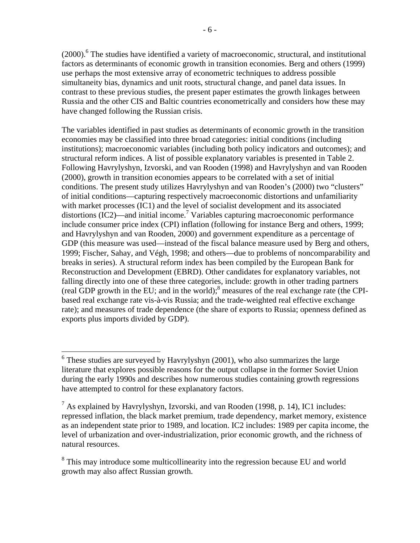(2000).<sup>6</sup> The studies have identified a variety of macroeconomic, structural, and institutional factors as determinants of economic growth in transition economies. Berg and others (1999) use perhaps the most extensive array of econometric techniques to address possible simultaneity bias, dynamics and unit roots, structural change, and panel data issues. In contrast to these previous studies, the present paper estimates the growth linkages between Russia and the other CIS and Baltic countries econometrically and considers how these may have changed following the Russian crisis.

The variables identified in past studies as determinants of economic growth in the transition economies may be classified into three broad categories: initial conditions (including institutions); macroeconomic variables (including both policy indicators and outcomes); and structural reform indices. A list of possible explanatory variables is presented in Table 2. Following Havrylyshyn, Izvorski, and van Rooden (1998) and Havrylyshyn and van Rooden (2000), growth in transition economies appears to be correlated with a set of initial conditions. The present study utilizes Havrylyshyn and van Rooden's (2000) two "clusters" of initial conditions—capturing respectively macroeconomic distortions and unfamiliarity with market processes (IC1) and the level of socialist development and its associated distortions (IC2)—and initial income.<sup>7</sup> Variables capturing macroeconomic performance include consumer price index (CPI) inflation (following for instance Berg and others, 1999; and Havrylyshyn and van Rooden, 2000) and government expenditure as a percentage of GDP (this measure was used—instead of the fiscal balance measure used by Berg and others, 1999; Fischer, Sahay, and Végh, 1998; and others—due to problems of noncomparability and breaks in series). A structural reform index has been compiled by the European Bank for Reconstruction and Development (EBRD). Other candidates for explanatory variables, not falling directly into one of these three categories, include: growth in other trading partners (real GDP growth in the EU; and in the world);<sup>8</sup> measures of the real exchange rate (the CPIbased real exchange rate vis-à-vis Russia; and the trade-weighted real effective exchange rate); and measures of trade dependence (the share of exports to Russia; openness defined as exports plus imports divided by GDP).

<sup>&</sup>lt;sup>6</sup> These studies are surveyed by Havrylyshyn (2001), who also summarizes the large literature that explores possible reasons for the output collapse in the former Soviet Union during the early 1990s and describes how numerous studies containing growth regressions have attempted to control for these explanatory factors.

 $^7$  As explained by Havrylyshyn, Izvorski, and van Rooden (1998, p. 14), IC1 includes: repressed inflation, the black market premium, trade dependency, market memory, existence as an independent state prior to 1989, and location. IC2 includes: 1989 per capita income, the level of urbanization and over-industrialization, prior economic growth, and the richness of natural resources.

<sup>&</sup>lt;sup>8</sup> This may introduce some multicollinearity into the regression because EU and world growth may also affect Russian growth.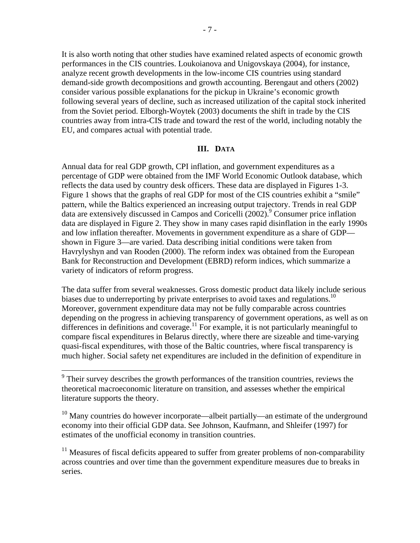It is also worth noting that other studies have examined related aspects of economic growth performances in the CIS countries. Loukoianova and Unigovskaya (2004), for instance, analyze recent growth developments in the low-income CIS countries using standard demand-side growth decompositions and growth accounting. Berengaut and others (2002) consider various possible explanations for the pickup in Ukraine's economic growth following several years of decline, such as increased utilization of the capital stock inherited from the Soviet period. Elborgh-Woytek (2003) documents the shift in trade by the CIS countries away from intra-CIS trade and toward the rest of the world, including notably the EU, and compares actual with potential trade.

#### **III. DATA**

Annual data for real GDP growth, CPI inflation, and government expenditures as a percentage of GDP were obtained from the IMF World Economic Outlook database, which reflects the data used by country desk officers. These data are displayed in Figures 1-3. Figure 1 shows that the graphs of real GDP for most of the CIS countries exhibit a "smile" pattern, while the Baltics experienced an increasing output trajectory. Trends in real GDP data are extensively discussed in Campos and Coricelli (2002).<sup>9</sup> Consumer price inflation data are displayed in Figure 2. They show in many cases rapid disinflation in the early 1990s and low inflation thereafter. Movements in government expenditure as a share of GDP shown in Figure 3—are varied. Data describing initial conditions were taken from Havrylyshyn and van Rooden (2000). The reform index was obtained from the European Bank for Reconstruction and Development (EBRD) reform indices, which summarize a variety of indicators of reform progress.

The data suffer from several weaknesses. Gross domestic product data likely include serious biases due to underreporting by private enterprises to avoid taxes and regulations.<sup>10</sup> Moreover, government expenditure data may not be fully comparable across countries depending on the progress in achieving transparency of government operations, as well as on differences in definitions and coverage.<sup>11</sup> For example, it is not particularly meaningful to compare fiscal expenditures in Belarus directly, where there are sizeable and time-varying quasi-fiscal expenditures, with those of the Baltic countries, where fiscal transparency is much higher. Social safety net expenditures are included in the definition of expenditure in

<sup>11</sup> Measures of fiscal deficits appeared to suffer from greater problems of non-comparability across countries and over time than the government expenditure measures due to breaks in series.

Their survey describes the growth performances of the transition countries, reviews the theoretical macroeconomic literature on transition, and assesses whether the empirical literature supports the theory.

<sup>&</sup>lt;sup>10</sup> Many countries do however incorporate—albeit partially—an estimate of the underground economy into their official GDP data. See Johnson, Kaufmann, and Shleifer (1997) for estimates of the unofficial economy in transition countries.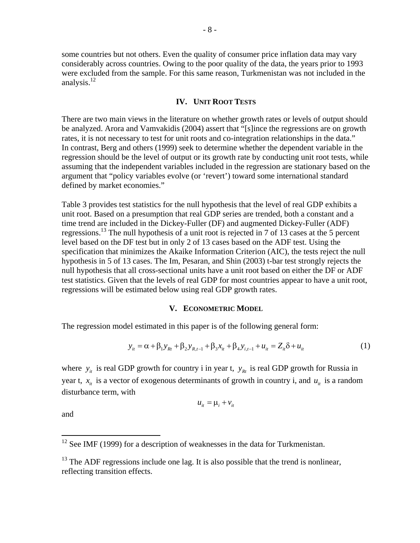some countries but not others. Even the quality of consumer price inflation data may vary considerably across countries. Owing to the poor quality of the data, the years prior to 1993 were excluded from the sample. For this same reason, Turkmenistan was not included in the analysis. $^{12}$ 

#### **IV. UNIT ROOT TESTS**

There are two main views in the literature on whether growth rates or levels of output should be analyzed. Arora and Vamvakidis (2004) assert that "[s]ince the regressions are on growth rates, it is not necessary to test for unit roots and co-integration relationships in the data." In contrast, Berg and others (1999) seek to determine whether the dependent variable in the regression should be the level of output or its growth rate by conducting unit root tests, while assuming that the independent variables included in the regression are stationary based on the argument that "policy variables evolve (or 'revert') toward some international standard defined by market economies."

Table 3 provides test statistics for the null hypothesis that the level of real GDP exhibits a unit root. Based on a presumption that real GDP series are trended, both a constant and a time trend are included in the Dickey-Fuller (DF) and augmented Dickey-Fuller (ADF) regressions.<sup>13</sup> The null hypothesis of a unit root is rejected in 7 of 13 cases at the 5 percent level based on the DF test but in only 2 of 13 cases based on the ADF test. Using the specification that minimizes the Akaike Information Criterion (AIC), the tests reject the null hypothesis in 5 of 13 cases. The Im, Pesaran, and Shin (2003) t-bar test strongly rejects the null hypothesis that all cross-sectional units have a unit root based on either the DF or ADF test statistics. Given that the levels of real GDP for most countries appear to have a unit root, regressions will be estimated below using real GDP growth rates.

#### **V. ECONOMETRIC MODEL**

The regression model estimated in this paper is of the following general form:

$$
y_{it} = \alpha + \beta_1 y_{Rt} + \beta_2 y_{R,t-1} + \beta_3 x_{it} + \beta_4 y_{i,t-1} + u_{it} = Z_{it} \delta + u_{it}
$$
 (1)

where  $y_i$  is real GDP growth for country i in year t,  $y_{k}$  is real GDP growth for Russia in year t,  $x_i$  is a vector of exogenous determinants of growth in country i, and  $u_i$  is a random disturbance term, with

$$
u_{it} = \mu_i + v_{it}
$$

and

 $\overline{a}$ 

 $12$  See IMF (1999) for a description of weaknesses in the data for Turkmenistan.

 $13$  The ADF regressions include one lag. It is also possible that the trend is nonlinear, reflecting transition effects.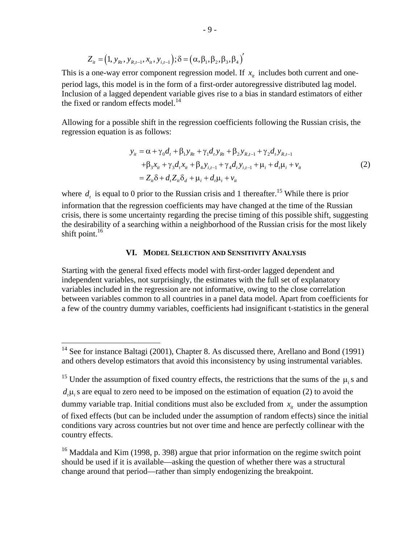$$
Z_{i} = (1, y_{R}, y_{R,t-1}, x_{i}, y_{i,t-1}); \delta = (\alpha, \beta_1, \beta_2, \beta_3, \beta_4)
$$

This is a one-way error component regression model. If  $x_{it}$  includes both current and oneperiod lags, this model is in the form of a first-order autoregressive distributed lag model. Inclusion of a lagged dependent variable gives rise to a bias in standard estimators of either the fixed or random effects model.<sup>14</sup>

Allowing for a possible shift in the regression coefficients following the Russian crisis, the regression equation is as follows:

$$
y_{it} = \alpha + \gamma_0 d_t + \beta_1 y_{Rt} + \gamma_1 d_t y_{Rt} + \beta_2 y_{R,t-1} + \gamma_2 d_t y_{R,t-1} + \beta_3 x_{it} + \gamma_3 d_t x_{it} + \beta_4 y_{i,t-1} + \gamma_4 d_t y_{i,t-1} + \mu_i + d_t \mu_i + v_{it} = Z_{it} \delta + d_t Z_{it} \delta_d + \mu_i + d_t \mu_i + v_{it}
$$
(2)

where  $d<sub>i</sub>$  is equal to 0 prior to the Russian crisis and 1 thereafter.<sup>15</sup> While there is prior information that the regression coefficients may have changed at the time of the Russian crisis, there is some uncertainty regarding the precise timing of this possible shift, suggesting the desirability of a searching within a neighborhood of the Russian crisis for the most likely shift point. $16$ 

#### **VI. MODEL SELECTION AND SENSITIVITY ANALYSIS**

Starting with the general fixed effects model with first-order lagged dependent and independent variables, not surprisingly, the estimates with the full set of explanatory variables included in the regression are not informative, owing to the close correlation between variables common to all countries in a panel data model. Apart from coefficients for a few of the country dummy variables, coefficients had insignificant t-statistics in the general

 $\overline{a}$ 

 $d_{\mu}$  is are equal to zero need to be imposed on the estimation of equation (2) to avoid the

 $14$  See for instance Baltagi (2001), Chapter 8. As discussed there, Arellano and Bond (1991) and others develop estimators that avoid this inconsistency by using instrumental variables.

<sup>&</sup>lt;sup>15</sup> Under the assumption of fixed country effects, the restrictions that the sums of the  $\mu$ <sub>i</sub> s and

dummy variable trap. Initial conditions must also be excluded from  $x_i$  under the assumption

of fixed effects (but can be included under the assumption of random effects) since the initial conditions vary across countries but not over time and hence are perfectly collinear with the country effects.

<sup>&</sup>lt;sup>16</sup> Maddala and Kim (1998, p. 398) argue that prior information on the regime switch point should be used if it is available—asking the question of whether there was a structural change around that period—rather than simply endogenizing the breakpoint.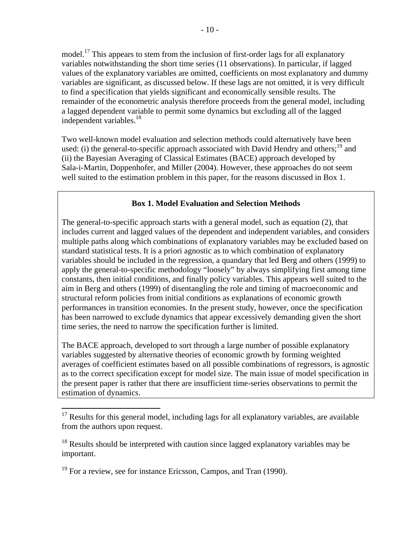model.<sup>17</sup> This appears to stem from the inclusion of first-order lags for all explanatory variables notwithstanding the short time series (11 observations). In particular, if lagged values of the explanatory variables are omitted, coefficients on most explanatory and dummy variables are significant, as discussed below. If these lags are not omitted, it is very difficult to find a specification that yields significant and economically sensible results. The remainder of the econometric analysis therefore proceeds from the general model, including a lagged dependent variable to permit some dynamics but excluding all of the lagged independent variables.<sup>18</sup>

Two well-known model evaluation and selection methods could alternatively have been used: (i) the general-to-specific approach associated with David Hendry and others;<sup>19</sup> and (ii) the Bayesian Averaging of Classical Estimates (BACE) approach developed by Sala-i-Martin, Doppenhofer, and Miller (2004). However, these approaches do not seem well suited to the estimation problem in this paper, for the reasons discussed in Box 1.

# **Box 1. Model Evaluation and Selection Methods**

The general-to-specific approach starts with a general model, such as equation (2), that includes current and lagged values of the dependent and independent variables, and considers multiple paths along which combinations of explanatory variables may be excluded based on standard statistical tests. It is a priori agnostic as to which combination of explanatory variables should be included in the regression, a quandary that led Berg and others (1999) to apply the general-to-specific methodology "loosely" by always simplifying first among time constants, then initial conditions, and finally policy variables. This appears well suited to the aim in Berg and others (1999) of disentangling the role and timing of macroeconomic and structural reform policies from initial conditions as explanations of economic growth performances in transition economies. In the present study, however, once the specification has been narrowed to exclude dynamics that appear excessively demanding given the short time series, the need to narrow the specification further is limited.

The BACE approach, developed to sort through a large number of possible explanatory variables suggested by alternative theories of economic growth by forming weighted averages of coefficient estimates based on all possible combinations of regressors, is agnostic as to the correct specification except for model size. The main issue of model specification in the present paper is rather that there are insufficient time-series observations to permit the estimation of dynamics.

 $\overline{a}$ 

 $17$  Results for this general model, including lags for all explanatory variables, are available from the authors upon request.

<sup>&</sup>lt;sup>18</sup> Results should be interpreted with caution since lagged explanatory variables may be important.

<sup>&</sup>lt;sup>19</sup> For a review, see for instance Ericsson, Campos, and Tran (1990).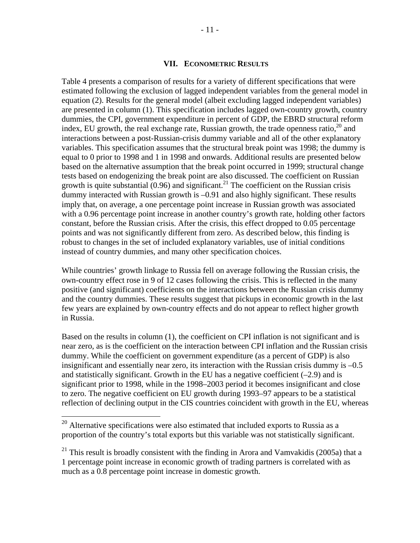#### **VII. ECONOMETRIC RESULTS**

Table 4 presents a comparison of results for a variety of different specifications that were estimated following the exclusion of lagged independent variables from the general model in equation (2). Results for the general model (albeit excluding lagged independent variables) are presented in column (1). This specification includes lagged own-country growth, country dummies, the CPI, government expenditure in percent of GDP, the EBRD structural reform index, EU growth, the real exchange rate, Russian growth, the trade openness ratio,  $^{20}$  and interactions between a post-Russian-crisis dummy variable and all of the other explanatory variables. This specification assumes that the structural break point was 1998; the dummy is equal to 0 prior to 1998 and 1 in 1998 and onwards. Additional results are presented below based on the alternative assumption that the break point occurred in 1999; structural change tests based on endogenizing the break point are also discussed. The coefficient on Russian growth is quite substantial  $(0.96)$  and significant.<sup>21</sup> The coefficient on the Russian crisis dummy interacted with Russian growth is –0.91 and also highly significant. These results imply that, on average, a one percentage point increase in Russian growth was associated with a 0.96 percentage point increase in another country's growth rate, holding other factors constant, before the Russian crisis. After the crisis, this effect dropped to 0.05 percentage points and was not significantly different from zero. As described below, this finding is robust to changes in the set of included explanatory variables, use of initial conditions instead of country dummies, and many other specification choices.

While countries' growth linkage to Russia fell on average following the Russian crisis, the own-country effect rose in 9 of 12 cases following the crisis. This is reflected in the many positive (and significant) coefficients on the interactions between the Russian crisis dummy and the country dummies. These results suggest that pickups in economic growth in the last few years are explained by own-country effects and do not appear to reflect higher growth in Russia.

Based on the results in column (1), the coefficient on CPI inflation is not significant and is near zero, as is the coefficient on the interaction between CPI inflation and the Russian crisis dummy. While the coefficient on government expenditure (as a percent of GDP) is also insignificant and essentially near zero, its interaction with the Russian crisis dummy is –0.5 and statistically significant. Growth in the EU has a negative coefficient  $(-2.9)$  and is significant prior to 1998, while in the 1998–2003 period it becomes insignificant and close to zero. The negative coefficient on EU growth during 1993–97 appears to be a statistical reflection of declining output in the CIS countries coincident with growth in the EU, whereas

 $\overline{a}$ 

 $^{20}$  Alternative specifications were also estimated that included exports to Russia as a proportion of the country's total exports but this variable was not statistically significant.

<sup>&</sup>lt;sup>21</sup> This result is broadly consistent with the finding in Arora and Vamvakidis (2005a) that a 1 percentage point increase in economic growth of trading partners is correlated with as much as a 0.8 percentage point increase in domestic growth.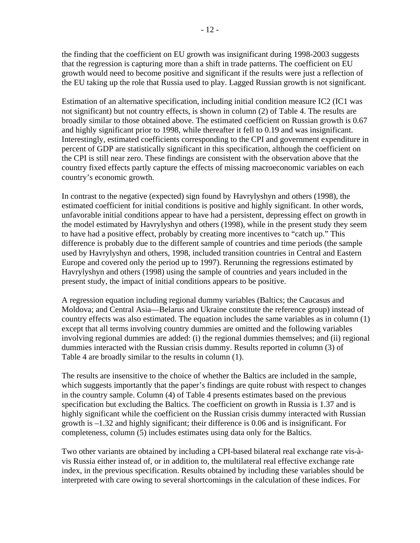the finding that the coefficient on EU growth was insignificant during 1998-2003 suggests that the regression is capturing more than a shift in trade patterns. The coefficient on EU growth would need to become positive and significant if the results were just a reflection of the EU taking up the role that Russia used to play. Lagged Russian growth is not significant.

Estimation of an alternative specification, including initial condition measure IC2 (IC1 was not significant) but not country effects, is shown in column (2) of Table 4. The results are broadly similar to those obtained above. The estimated coefficient on Russian growth is 0.67 and highly significant prior to 1998, while thereafter it fell to 0.19 and was insignificant. Interestingly, estimated coefficients corresponding to the CPI and government expenditure in percent of GDP are statistically significant in this specification, although the coefficient on the CPI is still near zero. These findings are consistent with the observation above that the country fixed effects partly capture the effects of missing macroeconomic variables on each country's economic growth.

In contrast to the negative (expected) sign found by Havrylyshyn and others (1998), the estimated coefficient for initial conditions is positive and highly significant. In other words, unfavorable initial conditions appear to have had a persistent, depressing effect on growth in the model estimated by Havrylyshyn and others (1998), while in the present study they seem to have had a positive effect, probably by creating more incentives to "catch up." This difference is probably due to the different sample of countries and time periods (the sample used by Havrylyshyn and others, 1998, included transition countries in Central and Eastern Europe and covered only the period up to 1997). Rerunning the regressions estimated by Havrylyshyn and others (1998) using the sample of countries and years included in the present study, the impact of initial conditions appears to be positive.

A regression equation including regional dummy variables (Baltics; the Caucasus and Moldova; and Central Asia—Belarus and Ukraine constitute the reference group) instead of country effects was also estimated. The equation includes the same variables as in column (1) except that all terms involving country dummies are omitted and the following variables involving regional dummies are added: (i) the regional dummies themselves; and (ii) regional dummies interacted with the Russian crisis dummy. Results reported in column (3) of Table 4 are broadly similar to the results in column (1).

The results are insensitive to the choice of whether the Baltics are included in the sample, which suggests importantly that the paper's findings are quite robust with respect to changes in the country sample. Column (4) of Table 4 presents estimates based on the previous specification but excluding the Baltics. The coefficient on growth in Russia is 1.37 and is highly significant while the coefficient on the Russian crisis dummy interacted with Russian growth is –1.32 and highly significant; their difference is 0.06 and is insignificant. For completeness, column (5) includes estimates using data only for the Baltics.

Two other variants are obtained by including a CPI-based bilateral real exchange rate vis-àvis Russia either instead of, or in addition to, the multilateral real effective exchange rate index, in the previous specification. Results obtained by including these variables should be interpreted with care owing to several shortcomings in the calculation of these indices. For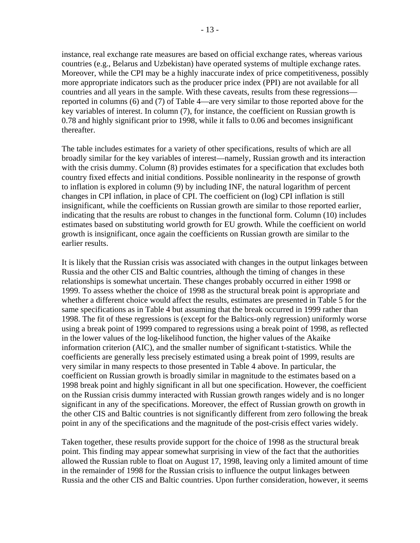instance, real exchange rate measures are based on official exchange rates, whereas various countries (e.g., Belarus and Uzbekistan) have operated systems of multiple exchange rates. Moreover, while the CPI may be a highly inaccurate index of price competitiveness, possibly more appropriate indicators such as the producer price index (PPI) are not available for all countries and all years in the sample. With these caveats, results from these regressions reported in columns (6) and (7) of Table 4—are very similar to those reported above for the key variables of interest. In column (7), for instance, the coefficient on Russian growth is 0.78 and highly significant prior to 1998, while it falls to 0.06 and becomes insignificant thereafter.

The table includes estimates for a variety of other specifications, results of which are all broadly similar for the key variables of interest—namely, Russian growth and its interaction with the crisis dummy. Column (8) provides estimates for a specification that excludes both country fixed effects and initial conditions. Possible nonlinearity in the response of growth to inflation is explored in column (9) by including INF, the natural logarithm of percent changes in CPI inflation, in place of CPI. The coefficient on (log) CPI inflation is still insignificant, while the coefficients on Russian growth are similar to those reported earlier, indicating that the results are robust to changes in the functional form. Column (10) includes estimates based on substituting world growth for EU growth. While the coefficient on world growth is insignificant, once again the coefficients on Russian growth are similar to the earlier results.

It is likely that the Russian crisis was associated with changes in the output linkages between Russia and the other CIS and Baltic countries, although the timing of changes in these relationships is somewhat uncertain. These changes probably occurred in either 1998 or 1999. To assess whether the choice of 1998 as the structural break point is appropriate and whether a different choice would affect the results, estimates are presented in Table 5 for the same specifications as in Table 4 but assuming that the break occurred in 1999 rather than 1998. The fit of these regressions is (except for the Baltics-only regression) uniformly worse using a break point of 1999 compared to regressions using a break point of 1998, as reflected in the lower values of the log-likelihood function, the higher values of the Akaike information criterion (AIC), and the smaller number of significant t-statistics. While the coefficients are generally less precisely estimated using a break point of 1999, results are very similar in many respects to those presented in Table 4 above. In particular, the coefficient on Russian growth is broadly similar in magnitude to the estimates based on a 1998 break point and highly significant in all but one specification. However, the coefficient on the Russian crisis dummy interacted with Russian growth ranges widely and is no longer significant in any of the specifications. Moreover, the effect of Russian growth on growth in the other CIS and Baltic countries is not significantly different from zero following the break point in any of the specifications and the magnitude of the post-crisis effect varies widely.

Taken together, these results provide support for the choice of 1998 as the structural break point. This finding may appear somewhat surprising in view of the fact that the authorities allowed the Russian ruble to float on August 17, 1998, leaving only a limited amount of time in the remainder of 1998 for the Russian crisis to influence the output linkages between Russia and the other CIS and Baltic countries. Upon further consideration, however, it seems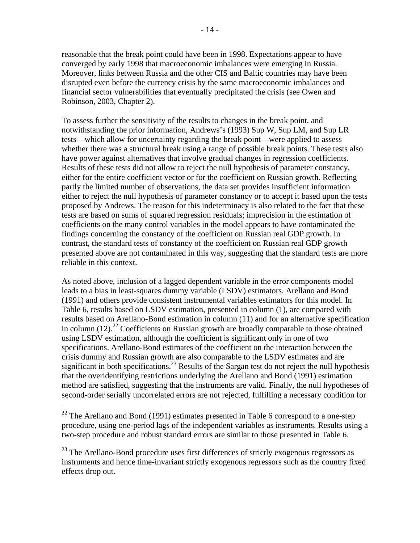reasonable that the break point could have been in 1998. Expectations appear to have converged by early 1998 that macroeconomic imbalances were emerging in Russia. Moreover, links between Russia and the other CIS and Baltic countries may have been disrupted even before the currency crisis by the same macroeconomic imbalances and financial sector vulnerabilities that eventually precipitated the crisis (see Owen and Robinson, 2003, Chapter 2).

To assess further the sensitivity of the results to changes in the break point, and notwithstanding the prior information, Andrews's (1993) Sup W, Sup LM, and Sup LR tests—which allow for uncertainty regarding the break point—were applied to assess whether there was a structural break using a range of possible break points. These tests also have power against alternatives that involve gradual changes in regression coefficients. Results of these tests did not allow to reject the null hypothesis of parameter constancy, either for the entire coefficient vector or for the coefficient on Russian growth. Reflecting partly the limited number of observations, the data set provides insufficient information either to reject the null hypothesis of parameter constancy or to accept it based upon the tests proposed by Andrews. The reason for this indeterminacy is also related to the fact that these tests are based on sums of squared regression residuals; imprecision in the estimation of coefficients on the many control variables in the model appears to have contaminated the findings concerning the constancy of the coefficient on Russian real GDP growth. In contrast, the standard tests of constancy of the coefficient on Russian real GDP growth presented above are not contaminated in this way, suggesting that the standard tests are more reliable in this context.

As noted above, inclusion of a lagged dependent variable in the error components model leads to a bias in least-squares dummy variable (LSDV) estimators. Arellano and Bond (1991) and others provide consistent instrumental variables estimators for this model. In Table 6, results based on LSDV estimation, presented in column (1), are compared with results based on Arellano-Bond estimation in column (11) and for an alternative specification in column  $(12).^{22}$  Coefficients on Russian growth are broadly comparable to those obtained using LSDV estimation, although the coefficient is significant only in one of two specifications. Arellano-Bond estimates of the coefficient on the interaction between the crisis dummy and Russian growth are also comparable to the LSDV estimates and are significant in both specifications.<sup>23</sup> Results of the Sargan test do not reject the null hypothesis that the overidentifying restrictions underlying the Arellano and Bond (1991) estimation method are satisfied, suggesting that the instruments are valid. Finally, the null hypotheses of second-order serially uncorrelated errors are not rejected, fulfilling a necessary condition for

 $\overline{a}$ 

<sup>23</sup> The Arellano-Bond procedure uses first differences of strictly exogenous regressors as instruments and hence time-invariant strictly exogenous regressors such as the country fixed effects drop out.

 $22$  The Arellano and Bond (1991) estimates presented in Table 6 correspond to a one-step procedure, using one-period lags of the independent variables as instruments. Results using a two-step procedure and robust standard errors are similar to those presented in Table 6.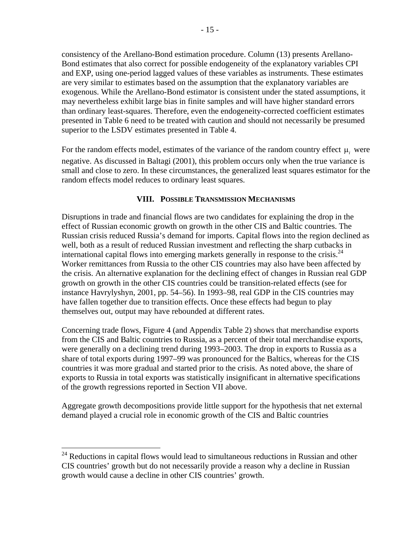consistency of the Arellano-Bond estimation procedure. Column (13) presents Arellano-Bond estimates that also correct for possible endogeneity of the explanatory variables CPI and EXP, using one-period lagged values of these variables as instruments. These estimates are very similar to estimates based on the assumption that the explanatory variables are exogenous. While the Arellano-Bond estimator is consistent under the stated assumptions, it may nevertheless exhibit large bias in finite samples and will have higher standard errors than ordinary least-squares. Therefore, even the endogeneity-corrected coefficient estimates presented in Table 6 need to be treated with caution and should not necessarily be presumed superior to the LSDV estimates presented in Table 4.

For the random effects model, estimates of the variance of the random country effect  $\mu$ <sub>*i*</sub> were negative. As discussed in Baltagi (2001), this problem occurs only when the true variance is small and close to zero. In these circumstances, the generalized least squares estimator for the random effects model reduces to ordinary least squares.

# **VIII. POSSIBLE TRANSMISSION MECHANISMS**

Disruptions in trade and financial flows are two candidates for explaining the drop in the effect of Russian economic growth on growth in the other CIS and Baltic countries. The Russian crisis reduced Russia's demand for imports. Capital flows into the region declined as well, both as a result of reduced Russian investment and reflecting the sharp cutbacks in international capital flows into emerging markets generally in response to the crisis. $^{24}$ Worker remittances from Russia to the other CIS countries may also have been affected by the crisis. An alternative explanation for the declining effect of changes in Russian real GDP growth on growth in the other CIS countries could be transition-related effects (see for instance Havrylyshyn, 2001, pp. 54–56). In 1993–98, real GDP in the CIS countries may have fallen together due to transition effects. Once these effects had begun to play themselves out, output may have rebounded at different rates.

Concerning trade flows, Figure 4 (and Appendix Table 2) shows that merchandise exports from the CIS and Baltic countries to Russia, as a percent of their total merchandise exports, were generally on a declining trend during 1993–2003. The drop in exports to Russia as a share of total exports during 1997–99 was pronounced for the Baltics, whereas for the CIS countries it was more gradual and started prior to the crisis. As noted above, the share of exports to Russia in total exports was statistically insignificant in alternative specifications of the growth regressions reported in Section VII above.

Aggregate growth decompositions provide little support for the hypothesis that net external demand played a crucial role in economic growth of the CIS and Baltic countries

1

 $24$  Reductions in capital flows would lead to simultaneous reductions in Russian and other CIS countries' growth but do not necessarily provide a reason why a decline in Russian growth would cause a decline in other CIS countries' growth.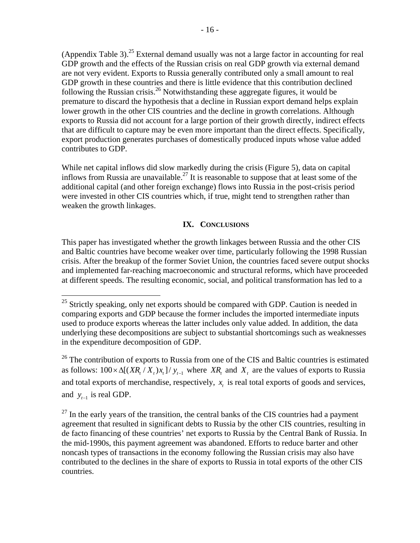(Appendix Table 3).<sup>25</sup> External demand usually was not a large factor in accounting for real GDP growth and the effects of the Russian crisis on real GDP growth via external demand are not very evident. Exports to Russia generally contributed only a small amount to real GDP growth in these countries and there is little evidence that this contribution declined following the Russian crisis.<sup>26</sup> Notwithstanding these aggregate figures, it would be premature to discard the hypothesis that a decline in Russian export demand helps explain lower growth in the other CIS countries and the decline in growth correlations. Although exports to Russia did not account for a large portion of their growth directly, indirect effects that are difficult to capture may be even more important than the direct effects. Specifically, export production generates purchases of domestically produced inputs whose value added contributes to GDP.

While net capital inflows did slow markedly during the crisis (Figure 5), data on capital inflows from Russia are unavailable.<sup>27</sup> It is reasonable to suppose that at least some of the additional capital (and other foreign exchange) flows into Russia in the post-crisis period were invested in other CIS countries which, if true, might tend to strengthen rather than weaken the growth linkages.

# **IX. CONCLUSIONS**

This paper has investigated whether the growth linkages between Russia and the other CIS and Baltic countries have become weaker over time, particularly following the 1998 Russian crisis. After the breakup of the former Soviet Union, the countries faced severe output shocks and implemented far-reaching macroeconomic and structural reforms, which have proceeded at different speeds. The resulting economic, social, and political transformation has led to a

1

 $26$  The contribution of exports to Russia from one of the CIS and Baltic countries is estimated as follows:  $100 \times \Delta[(XR_t / X_t)x_t]/y_{t-1}$  where *XR<sub>t</sub>* and  $X_t$  are the values of exports to Russia and total exports of merchandise, respectively,  $x<sub>t</sub>$  is real total exports of goods and services, and  $y_{t-1}$  is real GDP.

 $25$  Strictly speaking, only net exports should be compared with GDP. Caution is needed in comparing exports and GDP because the former includes the imported intermediate inputs used to produce exports whereas the latter includes only value added. In addition, the data underlying these decompositions are subject to substantial shortcomings such as weaknesses in the expenditure decomposition of GDP.

 $27$  In the early years of the transition, the central banks of the CIS countries had a payment agreement that resulted in significant debts to Russia by the other CIS countries, resulting in de facto financing of these countries' net exports to Russia by the Central Bank of Russia. In the mid-1990s, this payment agreement was abandoned. Efforts to reduce barter and other noncash types of transactions in the economy following the Russian crisis may also have contributed to the declines in the share of exports to Russia in total exports of the other CIS countries.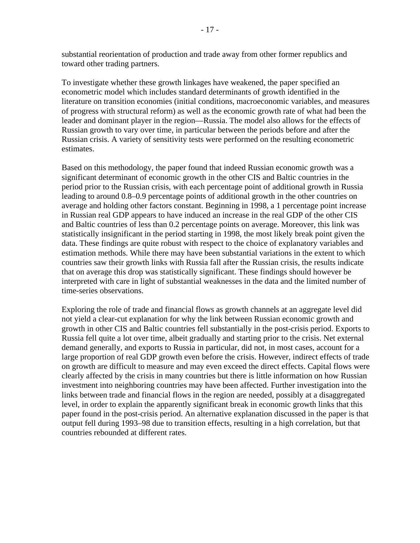substantial reorientation of production and trade away from other former republics and toward other trading partners.

To investigate whether these growth linkages have weakened, the paper specified an econometric model which includes standard determinants of growth identified in the literature on transition economies (initial conditions, macroeconomic variables, and measures of progress with structural reform) as well as the economic growth rate of what had been the leader and dominant player in the region—Russia. The model also allows for the effects of Russian growth to vary over time, in particular between the periods before and after the Russian crisis. A variety of sensitivity tests were performed on the resulting econometric estimates.

Based on this methodology, the paper found that indeed Russian economic growth was a significant determinant of economic growth in the other CIS and Baltic countries in the period prior to the Russian crisis, with each percentage point of additional growth in Russia leading to around 0.8–0.9 percentage points of additional growth in the other countries on average and holding other factors constant. Beginning in 1998, a 1 percentage point increase in Russian real GDP appears to have induced an increase in the real GDP of the other CIS and Baltic countries of less than 0.2 percentage points on average. Moreover, this link was statistically insignificant in the period starting in 1998, the most likely break point given the data. These findings are quite robust with respect to the choice of explanatory variables and estimation methods. While there may have been substantial variations in the extent to which countries saw their growth links with Russia fall after the Russian crisis, the results indicate that on average this drop was statistically significant. These findings should however be interpreted with care in light of substantial weaknesses in the data and the limited number of time-series observations.

Exploring the role of trade and financial flows as growth channels at an aggregate level did not yield a clear-cut explanation for why the link between Russian economic growth and growth in other CIS and Baltic countries fell substantially in the post-crisis period. Exports to Russia fell quite a lot over time, albeit gradually and starting prior to the crisis. Net external demand generally, and exports to Russia in particular, did not, in most cases, account for a large proportion of real GDP growth even before the crisis. However, indirect effects of trade on growth are difficult to measure and may even exceed the direct effects. Capital flows were clearly affected by the crisis in many countries but there is little information on how Russian investment into neighboring countries may have been affected. Further investigation into the links between trade and financial flows in the region are needed, possibly at a disaggregated level, in order to explain the apparently significant break in economic growth links that this paper found in the post-crisis period. An alternative explanation discussed in the paper is that output fell during 1993–98 due to transition effects, resulting in a high correlation, but that countries rebounded at different rates.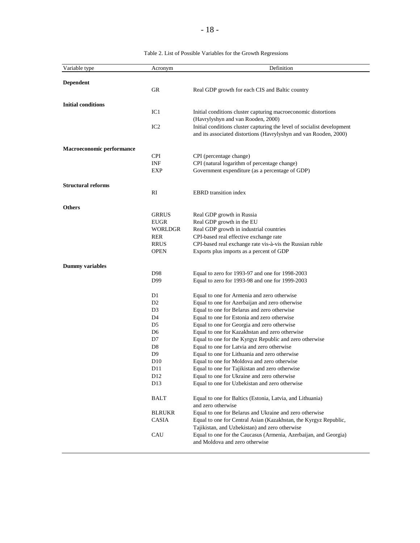| Variable type             | Acronym         | Definition                                                                                                    |
|---------------------------|-----------------|---------------------------------------------------------------------------------------------------------------|
| <b>Dependent</b>          |                 |                                                                                                               |
|                           | GR              | Real GDP growth for each CIS and Baltic country                                                               |
|                           |                 |                                                                                                               |
| <b>Initial conditions</b> |                 |                                                                                                               |
|                           | IC1             | Initial conditions cluster capturing macroeconomic distortions                                                |
|                           | IC <sub>2</sub> | (Havrylyshyn and van Rooden, 2000)<br>Initial conditions cluster capturing the level of socialist development |
|                           |                 | and its associated distortions (Havrylyshyn and van Rooden, 2000)                                             |
|                           |                 |                                                                                                               |
| Macroeconomic performance |                 |                                                                                                               |
|                           | CPI             | CPI (percentage change)                                                                                       |
|                           | INF             | CPI (natural logarithm of percentage change)                                                                  |
|                           | EXP             | Government expenditure (as a percentage of GDP)                                                               |
| <b>Structural reforms</b> |                 |                                                                                                               |
|                           | RI              | <b>EBRD</b> transition index                                                                                  |
|                           |                 |                                                                                                               |
| <b>Others</b>             |                 |                                                                                                               |
|                           | <b>GRRUS</b>    | Real GDP growth in Russia                                                                                     |
|                           | EUGR            | Real GDP growth in the EU                                                                                     |
|                           | WORLDGR<br>RER  | Real GDP growth in industrial countries                                                                       |
|                           | <b>RRUS</b>     | CPI-based real effective exchange rate                                                                        |
|                           | OPEN            | CPI-based real exchange rate vis-à-vis the Russian ruble<br>Exports plus imports as a percent of GDP          |
|                           |                 |                                                                                                               |
| <b>Dummy</b> variables    |                 |                                                                                                               |
|                           | D98             | Equal to zero for 1993-97 and one for 1998-2003                                                               |
|                           | D99             | Equal to zero for 1993-98 and one for 1999-2003                                                               |
|                           | D1              | Equal to one for Armenia and zero otherwise                                                                   |
|                           | D <sub>2</sub>  | Equal to one for Azerbaijan and zero otherwise                                                                |
|                           | D3              | Equal to one for Belarus and zero otherwise                                                                   |
|                           | D4              | Equal to one for Estonia and zero otherwise                                                                   |
|                           | D5              | Equal to one for Georgia and zero otherwise                                                                   |
|                           | D6              | Equal to one for Kazakhstan and zero otherwise                                                                |
|                           | D7              | Equal to one for the Kyrgyz Republic and zero otherwise                                                       |
|                           | D8              | Equal to one for Latvia and zero otherwise                                                                    |
|                           | D9              | Equal to one for Lithuania and zero otherwise                                                                 |
|                           | D <sub>10</sub> | Equal to one for Moldova and zero otherwise                                                                   |
|                           | D11             | Equal to one for Tajikistan and zero otherwise                                                                |
|                           | D <sub>12</sub> | Equal to one for Ukraine and zero otherwise                                                                   |
|                           | D <sub>13</sub> | Equal to one for Uzbekistan and zero otherwise                                                                |
|                           | <b>BALT</b>     | Equal to one for Baltics (Estonia, Latvia, and Lithuania)                                                     |
|                           |                 | and zero otherwise                                                                                            |
|                           | <b>BLRUKR</b>   | Equal to one for Belarus and Ukraine and zero otherwise                                                       |
|                           | <b>CASIA</b>    | Equal to one for Central Asian (Kazakhstan, the Kyrgyz Republic,                                              |
|                           |                 | Tajikistan, and Uzbekistan) and zero otherwise                                                                |
|                           | CAU             | Equal to one for the Caucasus (Armenia, Azerbaijan, and Georgia)                                              |
|                           |                 | and Moldova and zero otherwise                                                                                |
|                           |                 |                                                                                                               |

Table 2. List of Possible Variables for the Growth Regressions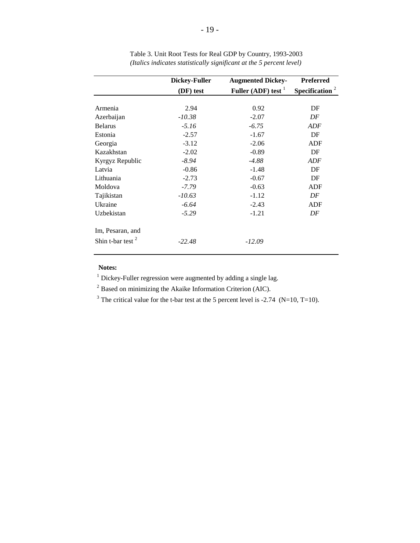|                     | <b>Dickey-Fuller</b> | <b>Augmented Dickey-</b> | <b>Preferred</b>           |
|---------------------|----------------------|--------------------------|----------------------------|
|                     | (DF) test            | Fuller (ADF) test $1$    | Specification <sup>2</sup> |
|                     |                      |                          |                            |
| Armenia             | 2.94                 | 0.92                     | DF                         |
| Azerbaijan          | $-10.38$             | $-2.07$                  | DF                         |
| <b>Belarus</b>      | $-5.16$              | $-6.75$                  | ADF                        |
| Estonia             | $-2.57$              | $-1.67$                  | DF                         |
| Georgia             | $-3.12$              | $-2.06$                  | <b>ADF</b>                 |
| Kazakhstan          | $-2.02$              | $-0.89$                  | DF                         |
| Kyrgyz Republic     | $-8.94$              | $-4.88$                  | ADF                        |
| Latvia              | $-0.86$              | $-1.48$                  | DF                         |
| Lithuania           | $-2.73$              | $-0.67$                  | DF                         |
| Moldova             | $-7.79$              | $-0.63$                  | ADF                        |
| Tajikistan          | $-10.63$             | $-1.12$                  | DF                         |
| Ukraine             | $-6.64$              | $-2.43$                  | ADF                        |
| Uzbekistan          | $-5.29$              | $-1.21$                  | DF                         |
| Im, Pesaran, and    |                      |                          |                            |
| Shin t-bar test $2$ | $-22.48$             | $-12.09$                 |                            |

Table 3. Unit Root Tests for Real GDP by Country, 1993-2003 *(Italics indicates statistically significant at the 5 percent level)*

 $1$  Dickey-Fuller regression were augmented by adding a single lag.

<sup>2</sup> Based on minimizing the Akaike Information Criterion (AIC).

<sup>3</sup> The critical value for the t-bar test at the 5 percent level is -2.74 (N=10, T=10).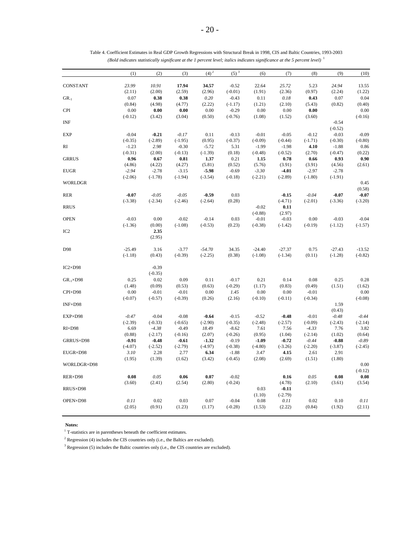|                      | (1)       | (2)       | (3)       | $(4)^2$   | $(5)^3$   | (6)       | (7)       | (8)       | (9)       | (10)      |
|----------------------|-----------|-----------|-----------|-----------|-----------|-----------|-----------|-----------|-----------|-----------|
| CONSTANT             | 23.99     | 10.91     | 17.94     | 34.57     | $-0.52$   | 22.64     | 25.72     | 5.23      | 24.94     | 13.55     |
|                      | (2.11)    | (2.00)    | (2.59)    | (2.96)    | $(-0.01)$ | (1.91)    | (2.36)    | (0.97)    | (2.24)    | (1.22)    |
| $GR_{-1}$            | 0.07      | 0.38      | 0.38      | $0.20\,$  | $-0.43$   | 0.11      | 0.18      | 0.43      | 0.07      | 0.04      |
|                      | (0.84)    | (4.98)    | (4.77)    | (2.22)    | $(-1.17)$ | (1.21)    | (2.10)    | (5.43)    | (0.82)    | (0.40)    |
| <b>CPI</b>           | 0.00      | 0.00      | 0.00      | 0.00      | $-0.29$   | 0.00      | 0.00      | 0.00      |           | 0.00      |
|                      | $(-0.12)$ | (3.42)    | (3.04)    | (0.50)    | $(-0.76)$ | (1.08)    | (1.52)    | (3.60)    |           | $(-0.16)$ |
| INF                  |           |           |           |           |           |           |           |           | $-0.54$   |           |
|                      |           |           |           |           |           |           |           |           | $(-0.52)$ |           |
| <b>EXP</b>           | $-0.04$   | $-0.21$   | $-0.17$   | 0.11      | $-0.13$   | $-0.01$   | $-0.05$   | $-0.12$   | $-0.03$   | $-0.09$   |
|                      | $(-0.35)$ | $(-2.89)$ | $(-1.95)$ | (0.95)    | $(-0.37)$ | $(-0.09)$ | $(-0.44)$ | $(-1.71)$ | $(-0.30)$ | $(-0.80)$ |
| RI                   | $-1.23$   | 2.98      | $-0.30$   | $-5.72$   | 5.31      | $-1.99$   | $-1.98$   | 4.10      | $-1.88$   | 0.86      |
|                      | $(-0.31)$ | (2.00)    | $(-0.13)$ | $(-1.39)$ | (0.18)    | $(-0.48)$ | $(-0.52)$ | (2.70)    | $(-0.47)$ | (0.22)    |
| <b>GRRUS</b>         | 0.96      | 0.67      | 0.81      | 1.37      | 0.21      | 1.15      | 0.78      | 0.66      | 0.93      | 0.90      |
|                      | (4.86)    | (4.22)    | (4.27)    | (5.81)    | (0.52)    | (5.76)    | (3.91)    | (3.91)    | (4.56)    | (2.61)    |
| <b>EUGR</b>          | $-2.94$   | $-2.78$   | $-3.15$   | $-5.98$   | $-0.69$   | $-3.30$   | $-4.01$   | $-2.97$   | $-2.78$   |           |
|                      | $(-2.06)$ | $(-1.78)$ | $(-1.94)$ | $(-3.54)$ | $(-0.18)$ | $(-2.21)$ | $(-2.89)$ | $(-1.80)$ | $(-1.91)$ |           |
| <b>WORLDGR</b>       |           |           |           |           |           |           |           |           |           | 0.45      |
|                      |           |           |           |           |           |           |           |           |           | (0.58)    |
| RER                  | $-0.07$   | $-0.05$   | $-0.05$   | $-0.59$   | 0.03      |           | $-0.15$   | $-0.04$   | $-0.07$   | $-0.07$   |
|                      | $(-3.38)$ | $(-2.34)$ | $(-2.46)$ | $(-2.64)$ | (0.28)    |           | $(-4.71)$ | $(-2.01)$ | $(-3.36)$ | $(-3.20)$ |
| <b>RRUS</b>          |           |           |           |           |           | $-0.02$   | 0.11      |           |           |           |
|                      |           |           |           |           |           |           | (2.97)    |           |           |           |
|                      |           |           | $-0.02$   |           |           | $(-0.88)$ | $-0.03$   |           |           | $-0.04$   |
| <b>OPEN</b>          | $-0.03$   | 0.00      |           | $-0.14$   | 0.03      | $-0.01$   |           | 0.00      | $-0.03$   |           |
|                      | $(-1.36)$ | (0.00)    | $(-1.08)$ | $(-0.53)$ | (0.23)    | $(-0.38)$ | $(-1.42)$ | $(-0.19)$ | $(-1.12)$ | $(-1.57)$ |
| IC <sub>2</sub>      |           | 2.35      |           |           |           |           |           |           |           |           |
|                      |           | (2.95)    |           |           |           |           |           |           |           |           |
| D98                  | $-25.49$  | 3.16      | $-3.77$   | $-54.70$  | 34.35     | $-24.40$  | $-27.37$  | 0.75      | $-27.43$  | $-13.52$  |
|                      | $(-1.18)$ | (0.43)    | $(-0.39)$ | $(-2.25)$ | (0.38)    | $(-1.08)$ | $(-1.34)$ | (0.11)    | $(-1.28)$ | $(-0.82)$ |
|                      |           |           |           |           |           |           |           |           |           |           |
| $IC2\times D98$      |           | $-0.39$   |           |           |           |           |           |           |           |           |
|                      |           | $(-0.35)$ |           |           |           |           |           |           |           |           |
| $GR_{-1} \times D98$ | 0.25      | 0.02      | 0.09      | 0.11      | $-0.17$   | 0.21      | 0.14      | 0.08      | 0.25      | 0.28      |
|                      | (1.48)    | (0.09)    | (0.53)    | (0.63)    | $(-0.29)$ | (1.17)    | (0.83)    | (0.49)    | (1.51)    | (1.62)    |
| CPI×D98              | 0.00      | $-0.01$   | $-0.01$   | 0.00      | 1.45      | 0.00      | 0.00      | $-0.01$   |           | 0.00      |
|                      | $(-0.07)$ | $(-0.57)$ | $(-0.39)$ | (0.26)    | (2.16)    | $(-0.10)$ | $(-0.11)$ | $(-0.34)$ |           | $(-0.08)$ |
| INF×D98              |           |           |           |           |           |           |           |           | 1.59      |           |
|                      |           |           |           |           |           |           |           |           | (0.43)    |           |
| EXP×D98              | $-0.47$   | $-0.04$   | $-0.08$   | $-0.64$   | $-0.15$   | $-0.52$   | $-0.48$   | $-0.01$   | $-0.48$   | $-0.44$   |
|                      | $(-2.39)$ | $(-0.33)$ | $(-0.65)$ | $(-2.90)$ | $(-0.35)$ | $(-2.48)$ | $(-2.57)$ | $(-0.09)$ | $(-2.43)$ | $(-2.14)$ |
| $RI \times D98$      | 6.69      | $-4.38$   | $-0.49$   | 18.49     | $-8.62$   | 7.61      | 7.56      | $-4.33$   | 7.76      | 3.82      |
|                      | (0.88)    | $(-2.17)$ | $(-0.16)$ | (2.07)    | $(-0.26)$ | (0.95)    | (1.04)    | $(-2.14)$ | (1.02)    | (0.64)    |
| GRRUS×D98            | $-0.91$   | $-0.48$   | $-0.61$   | $-1.32$   | $-0.19$   | $-1.09$   | $-0.72$   | $-0.44$   | $-0.88$   | $-0.89$   |
|                      | $(-4.07)$ | $(-2.52)$ | $(-2.79)$ | $(-4.97)$ | $(-0.38)$ | $(-4.80)$ | $(-3.26)$ | $(-2.20)$ | $(-3.87)$ | $(-2.45)$ |
| EUGR×D98             | 3.10      | 2.28      | 2.77      | 6.34      | $-1.88$   | 3.47      | 4.15      | 2.61      | 2.91      |           |
|                      | (1.95)    | (1.39)    | (1.62)    | (3.42)    | $(-0.45)$ | (2.08)    | (2.69)    | (1.51)    | (1.80)    |           |
|                      |           |           |           |           |           |           |           |           |           | 0.00      |
| WORLDGR×D98          |           |           |           |           |           |           |           |           |           |           |
|                      |           |           |           |           |           |           |           |           |           | $(-0.12)$ |
| RER×D98              | 0.08      | 0.05      | 0.06      | 0.07      | $-0.02$   |           | 0.16      | 0.05      | 0.08      | 0.08      |
|                      | (3.60)    | (2.41)    | (2.54)    | (2.80)    | $(-0.24)$ |           | (4.78)    | (2.10)    | (3.61)    | (3.54)    |
| RRUS×D98             |           |           |           |           |           | 0.03      | $-0.11$   |           |           |           |
|                      |           |           |           |           |           | (1.10)    | $(-2.79)$ |           |           |           |
| OPEN×D98             | 0.11      | 0.02      | 0.03      | 0.07      | $-0.04$   | 0.08      | 0.11      | 0.02      | 0.10      | 0.11      |
|                      | (2.05)    | (0.91)    | (1.23)    | (1.17)    | $(-0.28)$ | (1.53)    | (2.22)    | (0.84)    | (1.92)    | (2.11)    |
|                      |           |           |           |           |           |           |           |           |           |           |

| Table 4. Coefficient Estimates in Real GDP Growth Regressions with Structural Break in 1998, CIS and Baltic Countries, 1993-2003       |  |  |
|----------------------------------------------------------------------------------------------------------------------------------------|--|--|
| (Bold indicates statistically significant at the 1 percent level; italics indicates significance at the 5 percent level) $\frac{1}{1}$ |  |  |

 $^{\rm l}$  T-statistics are in parentheses beneath the coefficient estimates.

 $2$  Regression (4) includes the CIS countries only (i.e., the Baltics are excluded).

<sup>3</sup> Regression (5) includes the Baltic countries only (i.e., the CIS countries are excluded).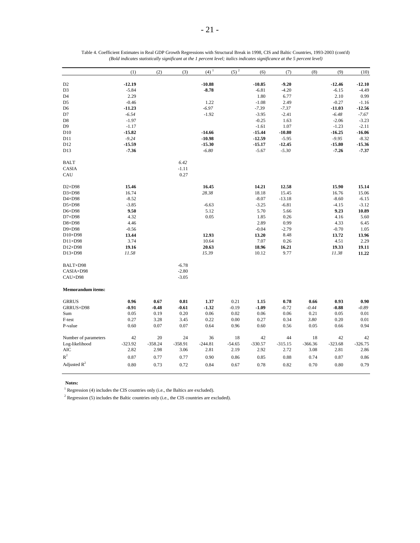|                          | (1)       | (2)       | (3)       | $(4)$ <sup>1</sup> | $(5)^2$  | (6)       | (7)       | (8)       | (9)       | (10)      |
|--------------------------|-----------|-----------|-----------|--------------------|----------|-----------|-----------|-----------|-----------|-----------|
| D <sub>2</sub>           | $-12.19$  |           |           | $-10.88$           |          | $-10.85$  | $-9.20$   |           | $-12.46$  | $-12.10$  |
| D3                       | $-5.84$   |           |           | $-8.78$            |          | $-6.81$   | $-4.20$   |           | $-6.15$   | $-4.49$   |
| D4                       | 2.29      |           |           |                    |          | 1.80      | 6.77      |           | 2.10      | 0.99      |
| D5                       | $-0.46$   |           |           | 1.22               |          | $-1.08$   | 2.49      |           | $-0.27$   | $-1.16$   |
| D6                       | $-11.23$  |           |           | $-6.97$            |          | $-7.39$   | $-7.37$   |           | $-11.03$  | $-12.56$  |
| D7                       | $-6.54$   |           |           | $-1.92$            |          | $-3.95$   | $-2.41$   |           | $-6.48$   | $-7.67$   |
| D8                       | $-1.97$   |           |           |                    |          | $-0.25$   | 1.63      |           | $-2.06$   | $-3.23$   |
| D9                       | $-1.17$   |           |           |                    |          | $-1.61$   | 1.07      |           | $-1.23$   | $-2.11$   |
| D10                      | $-15.82$  |           |           | $-14.66$           |          | $-15.44$  | $-10.80$  |           | $-16.25$  | $-16.06$  |
| D11                      | $-9.24$   |           |           | $-10.98$           |          | $-12.59$  | $-5.95$   |           | $-9.95$   | $-8.32$   |
| D12                      | $-15.59$  |           |           | $-15.30$           |          | $-15.17$  | $-12.45$  |           | $-15.80$  | $-15.36$  |
| D13                      | $-7.36$   |           |           | $-6.80$            |          | $-5.67$   | $-5.30$   |           | $-7.26$   | $-7.37$   |
| <b>BALT</b>              |           |           | 6.42      |                    |          |           |           |           |           |           |
| CASIA                    |           |           | $-1.11$   |                    |          |           |           |           |           |           |
| CAU                      |           |           | 0.27      |                    |          |           |           |           |           |           |
| $D2\times D98$           | 15.46     |           |           | 16.45              |          | 14.21     | 12.58     |           | 15.90     | 15.14     |
| $D3\times D98$           | 16.74     |           |           | 28.38              |          | 18.18     | 15.45     |           | 16.76     | 15.06     |
| $D4\times D98$           | $-8.52$   |           |           |                    |          | $-8.07$   | $-13.18$  |           | $-8.60$   | $-6.15$   |
| $D5\times D98$           | $-3.85$   |           |           | $-6.63$            |          | $-3.25$   | $-6.81$   |           | $-4.15$   | $-3.12$   |
| $D6 \times D98$          | 9.50      |           |           | 5.12               |          | 5.70      | 5.66      |           | 9.23      | 10.89     |
| $D7\times D98$           | 4.32      |           |           | 0.05               |          | 1.85      | 0.26      |           | 4.16      | 5.60      |
| $D8\times D98$           | 4.46      |           |           |                    |          | 2.89      | 0.99      |           | 4.33      | 6.45      |
| $D9\times D98$           | $-0.56$   |           |           |                    |          | $-0.04$   | $-2.79$   |           | $-0.70$   | 1.05      |
| $D10\times D98$          | 13.44     |           |           | 12.93              |          | 13.20     | 8.48      |           | 13.72     | 13.96     |
| $D11\times D98$          | 3.74      |           |           | 10.64              |          | 7.07      | 0.26      |           | 4.51      | 2.29      |
| $D12\times D98$          | 19.16     |           |           | 20.63              |          | 18.96     | 16.21     |           | 19.33     | 19.11     |
| D13×D98                  | 11.58     |           |           | 15.39              |          | 10.12     | 9.77      |           | 11.38     | 11.22     |
| BALT×D98                 |           |           | $-6.78$   |                    |          |           |           |           |           |           |
| CASIA×D98                |           |           | $-2.80$   |                    |          |           |           |           |           |           |
| CAU×D98                  |           |           | $-3.05$   |                    |          |           |           |           |           |           |
| <b>Memorandum items:</b> |           |           |           |                    |          |           |           |           |           |           |
| <b>GRRUS</b>             | 0.96      | 0.67      | 0.81      | 1.37               | 0.21     | 1.15      | 0.78      | 0.66      | 0.93      | 0.90      |
| GRRUS×D98                | $-0.91$   | $-0.48$   | $-0.61$   | $-1.32$            | $-0.19$  | $-1.09$   | $-0.72$   | $-0.44$   | $-0.88$   | $-0.89$   |
| Sum                      | 0.05      | 0.19      | 0.20      | 0.06               | 0.02     | 0.06      | 0.06      | 0.21      | 0.05      | 0.01      |
| F-test                   | 0.27      | 3.28      | 3.45      | 0.22               | 0.00     | 0.27      | 0.34      | 3.80      | 0.20      | 0.01      |
| P-value                  | 0.60      | 0.07      | 0.07      | 0.64               | 0.96     | 0.60      | 0.56      | 0.05      | 0.66      | 0.94      |
| Number of parameters     | 42        | 20        | 24        | 36                 | 18       | 42        | 44        | 18        | 42        | 42        |
| Log-likelihood           | $-323.92$ | $-358.24$ | $-358.91$ | $-244.81$          | $-54.65$ | $-330.57$ | $-315.15$ | $-366.36$ | $-323.68$ | $-326.75$ |
| <b>AIC</b>               | 2.82      | 2.98      | 3.06      | 2.81               | 2.19     | 2.92      | 2.72      | 3.08      | 2.81      | 2.86      |
| $R^2$                    | 0.87      | 0.77      | 0.77      | 0.90               | 0.86     | 0.85      | 0.88      | 0.74      | 0.87      | 0.86      |
| Adjusted $R^2$           | 0.80      | 0.73      | 0.72      | 0.84               | 0.67     | 0.78      | 0.82      | 0.70      | 0.80      | 0.79      |

| Table 4. Coefficient Estimates in Real GDP Growth Regressions with Structural Break in 1998, CIS and Baltic Countries, 1993-2003 (cont'd) |
|-------------------------------------------------------------------------------------------------------------------------------------------|
| (Bold indicates statistically significant at the 1 percent level; italics indicates significance at the 5 percent level)                  |

 $1$  Regression (4) includes the CIS countries only (i.e., the Baltics are excluded).

 $^{\rm 2}$  Regression (5) includes the Baltic countries only (i.e., the CIS countries are excluded).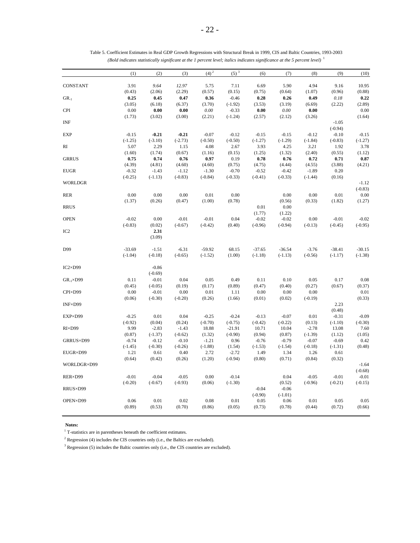|                   | (1)               | (2)                 | (3)       | $(4)^2$   | $(5)^3$   | (6)       | (7)       | (8)       | (9)       | (10)      |
|-------------------|-------------------|---------------------|-----------|-----------|-----------|-----------|-----------|-----------|-----------|-----------|
| <b>CONSTANT</b>   | 3.91              | 9.64                | 12.97     | 5.75      | 7.11      | 6.69      | 5.90      | 4.94      | 9.16      | 10.95     |
|                   | (0.43)            | (2.06)              | (2.29)    | (0.57)    | (0.15)    | (0.75)    | (0.64)    | (1.07)    | (0.96)    | (0.88)    |
| $GR_{-1}$         | 0.25              | 0.45                | 0.47      | 0.36      | $-0.46$   | 0.28      | 0.26      | 0.49      | 0.18      | 0.22      |
|                   | (3.05)            | (6.18)              | (6.37)    | (3.70)    | $(-1.92)$ | (3.53)    | (3.19)    | (6.69)    | (2.22)    | (2.89)    |
| <b>CPI</b>        | 0.00              | $\boldsymbol{0.00}$ | 0.00      | $0.00\,$  | $-0.33$   | $0.00\,$  | $0.00\,$  | 0.00      |           | 0.00      |
|                   | (1.73)            | (3.02)              | (3.00)    | (2.21)    | $(-1.24)$ | (2.57)    | (2.12)    | (3.26)    |           | (1.64)    |
| INF               |                   |                     |           |           |           |           |           |           | $-1.05$   |           |
|                   |                   |                     |           |           |           |           |           |           | $(-0.94)$ |           |
| EXP               | $-0.15$           | $-0.21$             | $-0.21$   | $-0.07$   | $-0.12$   | $-0.15$   | $-0.15$   | $-0.12$   | $-0.10$   | $-0.15$   |
|                   |                   |                     |           |           |           | $(-1.27)$ | $(-1.29)$ |           | $(-0.83)$ | $(-1.27)$ |
| RI                | $(-1.25)$<br>5.07 | $(-3.10)$<br>2.29   | $(-2.73)$ | $(-0.50)$ | $(-0.50)$ | 3.93      | 4.25      | $(-1.84)$ |           |           |
|                   |                   |                     | 1.15      | 4.08      | 2.67      |           |           | 3.21      | 1.92      | 3.78      |
|                   | (1.60)            | (1.74)              | (0.67)    | (1.16)    | (0.15)    | (1.25)    | (1.32)    | (2.40)    | (0.55)    | (1.12)    |
| <b>GRRUS</b>      | 0.75              | 0.74                | 0.76      | 0.97      | 0.19      | 0.78      | 0.76      | 0.72      | 0.71      | 0.87      |
|                   | (4.39)            | (4.81)              | (4.60)    | (4.60)    | (0.75)    | (4.75)    | (4.44)    | (4.55)    | (3.88)    | (4.21)    |
| <b>EUGR</b>       | $-0.32$           | $-1.43$             | $-1.12$   | $-1.30$   | $-0.70$   | $-0.52$   | $-0.42$   | $-1.89$   | 0.20      |           |
|                   | $(-0.25)$         | $(-1.13)$           | $(-0.83)$ | $(-0.84)$ | $(-0.33)$ | $(-0.41)$ | $(-0.33)$ | $(-1.44)$ | (0.16)    |           |
| <b>WORLDGR</b>    |                   |                     |           |           |           |           |           |           |           | $-1.12$   |
|                   |                   |                     |           |           |           |           |           |           |           | $(-0.83)$ |
| RER               | 0.00              | 0.00                | 0.00      | 0.01      | 0.00      |           | $0.00\,$  | 0.00      | 0.01      | 0.00      |
|                   | (1.37)            | (0.26)              | (0.47)    | (1.00)    | (0.78)    |           | (0.56)    | (0.33)    | (1.82)    | (1.27)    |
| <b>RRUS</b>       |                   |                     |           |           |           | 0.01      | $0.00\,$  |           |           |           |
|                   |                   |                     |           |           |           | (1.77)    | (1.22)    |           |           |           |
| <b>OPEN</b>       | $-0.02$           | 0.00                | $-0.01$   | $-0.01$   | 0.04      | $-0.02$   | $-0.02$   | 0.00      | $-0.01$   | $-0.02$   |
|                   | $(-0.83)$         | (0.02)              | $(-0.67)$ | $(-0.42)$ | (0.40)    | $(-0.96)$ | $(-0.94)$ | $(-0.13)$ | $(-0.45)$ | $(-0.95)$ |
| IC <sub>2</sub>   |                   | 2.31                |           |           |           |           |           |           |           |           |
|                   |                   | (3.09)              |           |           |           |           |           |           |           |           |
| D99               | $-33.69$          | $-1.51$             | $-6.31$   | $-59.92$  | 68.15     | $-37.65$  | $-36.54$  | $-3.76$   | $-38.41$  | $-30.15$  |
|                   | $(-1.04)$         | $(-0.18)$           | $(-0.65)$ | $(-1.52)$ | (1.00)    | $(-1.18)$ | $(-1.13)$ | $(-0.56)$ | $(-1.17)$ | $(-1.38)$ |
|                   |                   |                     |           |           |           |           |           |           |           |           |
| $IC2\times D99$   |                   | $-0.86$             |           |           |           |           |           |           |           |           |
|                   |                   | $(-0.69)$           |           |           |           |           |           |           |           |           |
| $GR-1 \times D99$ | 0.11              | $-0.01$             | 0.04      | 0.05      | 0.49      | 0.11      | 0.10      | 0.05      | 0.17      | 0.08      |
|                   | (0.45)            | $(-0.05)$           | (0.19)    | (0.17)    | (0.89)    | (0.47)    | (0.40)    | (0.27)    | (0.67)    | (0.37)    |
| CPI×D99           | 0.00              | $-0.01$             | 0.00      | 0.01      | 1.11      | 0.00      | 0.00      | 0.00      |           | 0.01      |
|                   | (0.06)            | $(-0.30)$           | $(-0.20)$ | (0.26)    | (1.66)    | (0.01)    | (0.02)    | $(-0.19)$ |           | (0.33)    |
| INF×D99           |                   |                     |           |           |           |           |           |           | 2.23      |           |
|                   |                   |                     |           |           |           |           |           |           | (0.48)    |           |
| EXP×D99           | $-0.25$           | 0.01                | 0.04      | $-0.25$   | $-0.24$   | $-0.13$   | $-0.07$   | 0.01      | $-0.31$   | $-0.09$   |
|                   | $(-0.92)$         | (0.04)              | (0.24)    | $(-0.70)$ | $(-0.75)$ | $(-0.42)$ | $(-0.22)$ | (0.13)    | $(-1.10)$ | $(-0.30)$ |
| RI×D99            | 9.99              | $-2.83$             | $-1.43$   | 18.88     | $-21.91$  | 10.71     | 10.04     | $-2.78$   | 13.08     | 7.60      |
|                   | (0.87)            | $(-1.37)$           | $(-0.62)$ | (1.32)    | $(-0.90)$ | (0.94)    | (0.87)    | $(-1.39)$ | (1.12)    | (1.05)    |
|                   |                   |                     |           |           |           |           |           |           |           |           |
| GRRUS×D99         | $-0.74$           | $-0.12$             | $-0.10$   | $-1.21$   | 0.96      | $-0.76$   | $-0.79$   | $-0.07$   | $-0.69$   | 0.42      |
|                   | $(-1.45)$         | $(-0.30)$           | $(-0.26)$ | $(-1.88)$ | (1.54)    | $(-1.53)$ | $(-1.54)$ | $(-0.18)$ | $(-1.31)$ | (0.48)    |
| EUGR×D99          | 1.21              | 0.61                | 0.40      | 2.72      | $-2.72$   | 1.49      | 1.34      | 1.26      | 0.61      |           |
|                   | (0.64)            | (0.42)              | (0.26)    | (1.20)    | $(-0.94)$ | (0.80)    | (0.71)    | (0.84)    | (0.32)    |           |
| WORLDGR×D99       |                   |                     |           |           |           |           |           |           |           | $-1.64$   |
|                   |                   |                     |           |           |           |           |           |           |           | $(-0.68)$ |
| RER×D99           | $-0.01$           | $-0.04$             | $-0.05$   | 0.00      | $-0.14$   |           | 0.04      | $-0.05$   | $-0.01$   | $-0.01$   |
|                   | $(-0.20)$         | $(-0.67)$           | $(-0.93)$ | (0.06)    | $(-1.30)$ |           | (0.52)    | $(-0.96)$ | $(-0.21)$ | $(-0.15)$ |
| RRUS×D99          |                   |                     |           |           |           | $-0.04$   | $-0.06$   |           |           |           |
|                   |                   |                     |           |           |           | $(-0.90)$ | $(-1.01)$ |           |           |           |
| OPEN×D99          | 0.06              | 0.01                | 0.02      | 0.08      | 0.01      | 0.05      | 0.06      | 0.01      | 0.05      | 0.05      |
|                   | (0.89)            | (0.53)              | (0.70)    | (0.86)    | (0.05)    | (0.73)    | (0.78)    | (0.44)    | (0.72)    | (0.66)    |
|                   |                   |                     |           |           |           |           |           |           |           |           |

Table 5. Coefficient Estimates in Real GDP Growth Regressions with Structural Break in 1999, CIS and Baltic Countries, 1993-2003 *(Bold indicates statistically significant at the 1 percent level; italics indicates significance at the 5 percent level)* <sup>1</sup>

 $^{\rm 1}$  T-statistics are in parentheses beneath the coefficient estimates.

 $2$  Regression (4) includes the CIS countries only (i.e., the Baltics are excluded).

3 Regression (5) includes the Baltic countries only (i.e., the CIS countries are excluded).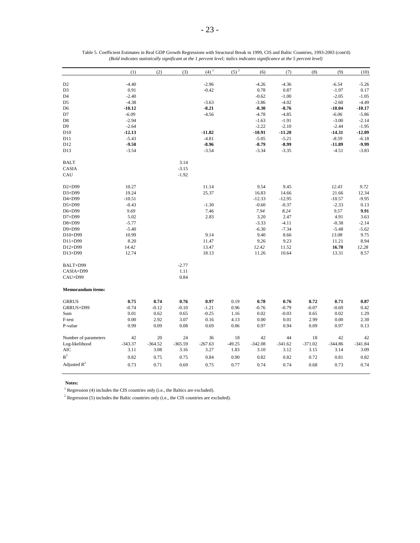| $-4.40$<br>$-2.96$<br>$-4.26$<br>$-4.36$<br>$-6.54$<br>D <sub>2</sub><br>D <sub>3</sub><br>0.91<br>$-0.42$<br>0.78<br>0.87<br>$-1.97$<br>D <sub>4</sub><br>$-2.40$<br>$-0.62$<br>$-1.00$<br>$-2.05$<br>$-4.38$<br>$-3.86$<br>D <sub>5</sub><br>$-3.63$<br>$-4.02$<br>$-2.60$<br>$-8.21$<br>$-10.12$<br>$-8.30$<br>$-8.76$<br>$-10.04$<br>D <sub>6</sub><br>$-6.09$<br>$-4.56$<br>$-4.78$<br>$-6.06$<br>D7<br>$-4.85$<br>$-2.94$<br>$-1.63$<br>$-1.91$<br>$-3.00$<br>D8<br>$-2.64$<br>$-2.22$<br>D9<br>$-2.10$<br>$-2.44$<br>$-12.13$<br>$-10.91$<br>D <sub>10</sub><br>$-11.82$<br>$-11.20$<br>$-14.31$<br>$-5.43$<br>$-4.81$<br>$-5.05$<br>$-5.21$<br>$-8.59$<br>D11<br>$-8.96$<br>$-8.99$<br>$-9.50$<br>$-8.79$<br>$-11.89$<br>D12<br>D13<br>$-3.54$<br>$-3.54$<br>$-3.34$<br>$-3.35$<br>$-4.51$<br>3.14<br><b>BALT</b><br>$-3.15$<br><b>CASIA</b><br>$-1.92$<br>CAU<br>$D2\times D99$<br>10.27<br>11.14<br>9.54<br>9.45<br>12.43<br>9.72<br>D3×D99<br>19.24<br>25.37<br>16.83<br>21.66<br>12.34<br>14.66<br>D4×D99<br>$-10.51$<br>$-12.95$<br>$-10.57$<br>$-9.95$<br>$-12.33$<br>$D5\times D99$<br>$-0.43$<br>$-1.30$<br>$-0.60$<br>$-0.37$<br>$-2.33$<br>0.13<br>7.46<br>7.94<br>9.91<br>$D6 \times D99$<br>9.69<br>8.24<br>9.57<br>D7×D99<br>5.02<br>2.83<br>3.20<br>2.47<br>4.91<br>3.63<br>$-2.14$<br>D8×D99<br>$-3.33$<br>$-4.11$<br>$-0.38$<br>$-5.77$<br>$-6.30$<br>$-5.62$<br>D9×D99<br>$-5.40$<br>$-7.34$<br>$-5.48$<br>10.99<br>9.75<br>$D10\times D99$<br>9.14<br>9.40<br>8.66<br>13.08<br>8.20<br>8.94<br>$D11\times D99$<br>11.47<br>9.26<br>9.23<br>11.21<br>16.78<br>12.28<br>D12×D99<br>14.42<br>13.47<br>12.42<br>11.52 |         | (1)   | (2) | (3) | $(4)$ <sup>1</sup> | $(5)^2$ | (6)   | (7)   | (8) | (9)   | (10)      |
|---------------------------------------------------------------------------------------------------------------------------------------------------------------------------------------------------------------------------------------------------------------------------------------------------------------------------------------------------------------------------------------------------------------------------------------------------------------------------------------------------------------------------------------------------------------------------------------------------------------------------------------------------------------------------------------------------------------------------------------------------------------------------------------------------------------------------------------------------------------------------------------------------------------------------------------------------------------------------------------------------------------------------------------------------------------------------------------------------------------------------------------------------------------------------------------------------------------------------------------------------------------------------------------------------------------------------------------------------------------------------------------------------------------------------------------------------------------------------------------------------------------------------------------------------------------------------------------------------------------------------------------------|---------|-------|-----|-----|--------------------|---------|-------|-------|-----|-------|-----------|
|                                                                                                                                                                                                                                                                                                                                                                                                                                                                                                                                                                                                                                                                                                                                                                                                                                                                                                                                                                                                                                                                                                                                                                                                                                                                                                                                                                                                                                                                                                                                                                                                                                             |         |       |     |     |                    |         |       |       |     |       |           |
|                                                                                                                                                                                                                                                                                                                                                                                                                                                                                                                                                                                                                                                                                                                                                                                                                                                                                                                                                                                                                                                                                                                                                                                                                                                                                                                                                                                                                                                                                                                                                                                                                                             |         |       |     |     |                    |         |       |       |     |       | $-5.26$   |
|                                                                                                                                                                                                                                                                                                                                                                                                                                                                                                                                                                                                                                                                                                                                                                                                                                                                                                                                                                                                                                                                                                                                                                                                                                                                                                                                                                                                                                                                                                                                                                                                                                             |         |       |     |     |                    |         |       |       |     |       | 0.17      |
|                                                                                                                                                                                                                                                                                                                                                                                                                                                                                                                                                                                                                                                                                                                                                                                                                                                                                                                                                                                                                                                                                                                                                                                                                                                                                                                                                                                                                                                                                                                                                                                                                                             |         |       |     |     |                    |         |       |       |     |       | $-1.05$   |
|                                                                                                                                                                                                                                                                                                                                                                                                                                                                                                                                                                                                                                                                                                                                                                                                                                                                                                                                                                                                                                                                                                                                                                                                                                                                                                                                                                                                                                                                                                                                                                                                                                             |         |       |     |     |                    |         |       |       |     |       | $-4.49$   |
|                                                                                                                                                                                                                                                                                                                                                                                                                                                                                                                                                                                                                                                                                                                                                                                                                                                                                                                                                                                                                                                                                                                                                                                                                                                                                                                                                                                                                                                                                                                                                                                                                                             |         |       |     |     |                    |         |       |       |     |       | $-10.17$  |
|                                                                                                                                                                                                                                                                                                                                                                                                                                                                                                                                                                                                                                                                                                                                                                                                                                                                                                                                                                                                                                                                                                                                                                                                                                                                                                                                                                                                                                                                                                                                                                                                                                             |         |       |     |     |                    |         |       |       |     |       | $-5.86$   |
|                                                                                                                                                                                                                                                                                                                                                                                                                                                                                                                                                                                                                                                                                                                                                                                                                                                                                                                                                                                                                                                                                                                                                                                                                                                                                                                                                                                                                                                                                                                                                                                                                                             |         |       |     |     |                    |         |       |       |     |       | $-2.14$   |
|                                                                                                                                                                                                                                                                                                                                                                                                                                                                                                                                                                                                                                                                                                                                                                                                                                                                                                                                                                                                                                                                                                                                                                                                                                                                                                                                                                                                                                                                                                                                                                                                                                             |         |       |     |     |                    |         |       |       |     |       | $-1.95$   |
|                                                                                                                                                                                                                                                                                                                                                                                                                                                                                                                                                                                                                                                                                                                                                                                                                                                                                                                                                                                                                                                                                                                                                                                                                                                                                                                                                                                                                                                                                                                                                                                                                                             |         |       |     |     |                    |         |       |       |     |       | $-12.09$  |
|                                                                                                                                                                                                                                                                                                                                                                                                                                                                                                                                                                                                                                                                                                                                                                                                                                                                                                                                                                                                                                                                                                                                                                                                                                                                                                                                                                                                                                                                                                                                                                                                                                             |         |       |     |     |                    |         |       |       |     |       | $-6.18$   |
|                                                                                                                                                                                                                                                                                                                                                                                                                                                                                                                                                                                                                                                                                                                                                                                                                                                                                                                                                                                                                                                                                                                                                                                                                                                                                                                                                                                                                                                                                                                                                                                                                                             |         |       |     |     |                    |         |       |       |     |       | $-9.99$   |
|                                                                                                                                                                                                                                                                                                                                                                                                                                                                                                                                                                                                                                                                                                                                                                                                                                                                                                                                                                                                                                                                                                                                                                                                                                                                                                                                                                                                                                                                                                                                                                                                                                             |         |       |     |     |                    |         |       |       |     |       | $-3.83$   |
|                                                                                                                                                                                                                                                                                                                                                                                                                                                                                                                                                                                                                                                                                                                                                                                                                                                                                                                                                                                                                                                                                                                                                                                                                                                                                                                                                                                                                                                                                                                                                                                                                                             |         |       |     |     |                    |         |       |       |     |       |           |
|                                                                                                                                                                                                                                                                                                                                                                                                                                                                                                                                                                                                                                                                                                                                                                                                                                                                                                                                                                                                                                                                                                                                                                                                                                                                                                                                                                                                                                                                                                                                                                                                                                             |         |       |     |     |                    |         |       |       |     |       |           |
|                                                                                                                                                                                                                                                                                                                                                                                                                                                                                                                                                                                                                                                                                                                                                                                                                                                                                                                                                                                                                                                                                                                                                                                                                                                                                                                                                                                                                                                                                                                                                                                                                                             |         |       |     |     |                    |         |       |       |     |       |           |
|                                                                                                                                                                                                                                                                                                                                                                                                                                                                                                                                                                                                                                                                                                                                                                                                                                                                                                                                                                                                                                                                                                                                                                                                                                                                                                                                                                                                                                                                                                                                                                                                                                             |         |       |     |     |                    |         |       |       |     |       |           |
|                                                                                                                                                                                                                                                                                                                                                                                                                                                                                                                                                                                                                                                                                                                                                                                                                                                                                                                                                                                                                                                                                                                                                                                                                                                                                                                                                                                                                                                                                                                                                                                                                                             |         |       |     |     |                    |         |       |       |     |       |           |
|                                                                                                                                                                                                                                                                                                                                                                                                                                                                                                                                                                                                                                                                                                                                                                                                                                                                                                                                                                                                                                                                                                                                                                                                                                                                                                                                                                                                                                                                                                                                                                                                                                             |         |       |     |     |                    |         |       |       |     |       |           |
|                                                                                                                                                                                                                                                                                                                                                                                                                                                                                                                                                                                                                                                                                                                                                                                                                                                                                                                                                                                                                                                                                                                                                                                                                                                                                                                                                                                                                                                                                                                                                                                                                                             |         |       |     |     |                    |         |       |       |     |       |           |
|                                                                                                                                                                                                                                                                                                                                                                                                                                                                                                                                                                                                                                                                                                                                                                                                                                                                                                                                                                                                                                                                                                                                                                                                                                                                                                                                                                                                                                                                                                                                                                                                                                             |         |       |     |     |                    |         |       |       |     |       |           |
|                                                                                                                                                                                                                                                                                                                                                                                                                                                                                                                                                                                                                                                                                                                                                                                                                                                                                                                                                                                                                                                                                                                                                                                                                                                                                                                                                                                                                                                                                                                                                                                                                                             |         |       |     |     |                    |         |       |       |     |       |           |
|                                                                                                                                                                                                                                                                                                                                                                                                                                                                                                                                                                                                                                                                                                                                                                                                                                                                                                                                                                                                                                                                                                                                                                                                                                                                                                                                                                                                                                                                                                                                                                                                                                             |         |       |     |     |                    |         |       |       |     |       |           |
|                                                                                                                                                                                                                                                                                                                                                                                                                                                                                                                                                                                                                                                                                                                                                                                                                                                                                                                                                                                                                                                                                                                                                                                                                                                                                                                                                                                                                                                                                                                                                                                                                                             |         |       |     |     |                    |         |       |       |     |       |           |
|                                                                                                                                                                                                                                                                                                                                                                                                                                                                                                                                                                                                                                                                                                                                                                                                                                                                                                                                                                                                                                                                                                                                                                                                                                                                                                                                                                                                                                                                                                                                                                                                                                             |         |       |     |     |                    |         |       |       |     |       |           |
|                                                                                                                                                                                                                                                                                                                                                                                                                                                                                                                                                                                                                                                                                                                                                                                                                                                                                                                                                                                                                                                                                                                                                                                                                                                                                                                                                                                                                                                                                                                                                                                                                                             |         |       |     |     |                    |         |       |       |     |       |           |
|                                                                                                                                                                                                                                                                                                                                                                                                                                                                                                                                                                                                                                                                                                                                                                                                                                                                                                                                                                                                                                                                                                                                                                                                                                                                                                                                                                                                                                                                                                                                                                                                                                             |         |       |     |     |                    |         |       |       |     |       |           |
|                                                                                                                                                                                                                                                                                                                                                                                                                                                                                                                                                                                                                                                                                                                                                                                                                                                                                                                                                                                                                                                                                                                                                                                                                                                                                                                                                                                                                                                                                                                                                                                                                                             | D13×D99 | 12.74 |     |     | 18.13              |         | 11.26 | 10.64 |     | 13.31 | 8.57      |
| $-2.77$<br>BALT×D99                                                                                                                                                                                                                                                                                                                                                                                                                                                                                                                                                                                                                                                                                                                                                                                                                                                                                                                                                                                                                                                                                                                                                                                                                                                                                                                                                                                                                                                                                                                                                                                                                         |         |       |     |     |                    |         |       |       |     |       |           |
| CASIA×D99<br>1.11                                                                                                                                                                                                                                                                                                                                                                                                                                                                                                                                                                                                                                                                                                                                                                                                                                                                                                                                                                                                                                                                                                                                                                                                                                                                                                                                                                                                                                                                                                                                                                                                                           |         |       |     |     |                    |         |       |       |     |       |           |
| CAU×D99<br>0.84                                                                                                                                                                                                                                                                                                                                                                                                                                                                                                                                                                                                                                                                                                                                                                                                                                                                                                                                                                                                                                                                                                                                                                                                                                                                                                                                                                                                                                                                                                                                                                                                                             |         |       |     |     |                    |         |       |       |     |       |           |
| <b>Memorandum items:</b>                                                                                                                                                                                                                                                                                                                                                                                                                                                                                                                                                                                                                                                                                                                                                                                                                                                                                                                                                                                                                                                                                                                                                                                                                                                                                                                                                                                                                                                                                                                                                                                                                    |         |       |     |     |                    |         |       |       |     |       |           |
| <b>GRRUS</b><br>0.75<br>0.74<br>0.76<br>0.97<br>0.78<br>0.72<br>0.71<br>0.19<br>0.76                                                                                                                                                                                                                                                                                                                                                                                                                                                                                                                                                                                                                                                                                                                                                                                                                                                                                                                                                                                                                                                                                                                                                                                                                                                                                                                                                                                                                                                                                                                                                        |         |       |     |     |                    |         |       |       |     |       | 0.87      |
| $-0.74$<br>$-0.12$<br>$-0.69$<br>GRRUS×D99<br>$-0.10$<br>$-1.21$<br>0.96<br>$-0.76$<br>$-0.79$<br>$-0.07$                                                                                                                                                                                                                                                                                                                                                                                                                                                                                                                                                                                                                                                                                                                                                                                                                                                                                                                                                                                                                                                                                                                                                                                                                                                                                                                                                                                                                                                                                                                                   |         |       |     |     |                    |         |       |       |     |       | 0.42      |
| 0.62<br>0.01<br>0.65<br>$-0.25$<br>0.02<br>$-0.03$<br>0.65<br>0.02<br>Sum<br>1.16                                                                                                                                                                                                                                                                                                                                                                                                                                                                                                                                                                                                                                                                                                                                                                                                                                                                                                                                                                                                                                                                                                                                                                                                                                                                                                                                                                                                                                                                                                                                                           |         |       |     |     |                    |         |       |       |     |       | 1.29      |
| 0.00<br>2.92<br>3.07<br>2.99<br>0.00<br>F-test<br>0.16<br>4.13<br>0.00<br>0.01                                                                                                                                                                                                                                                                                                                                                                                                                                                                                                                                                                                                                                                                                                                                                                                                                                                                                                                                                                                                                                                                                                                                                                                                                                                                                                                                                                                                                                                                                                                                                              |         |       |     |     |                    |         |       |       |     |       | 2.30      |
| 0.99<br>0.09<br>0.08<br>0.06<br>0.97<br>0.94<br>0.09<br>0.97<br>P-value<br>0.69                                                                                                                                                                                                                                                                                                                                                                                                                                                                                                                                                                                                                                                                                                                                                                                                                                                                                                                                                                                                                                                                                                                                                                                                                                                                                                                                                                                                                                                                                                                                                             |         |       |     |     |                    |         |       |       |     |       | 0.13      |
| 42<br>20<br>24<br>36<br>18<br>42<br>44<br>18<br>42<br>Number of parameters                                                                                                                                                                                                                                                                                                                                                                                                                                                                                                                                                                                                                                                                                                                                                                                                                                                                                                                                                                                                                                                                                                                                                                                                                                                                                                                                                                                                                                                                                                                                                                  |         |       |     |     |                    |         |       |       |     |       | 42        |
| $-343.37$<br>$-364.52$<br>$-365.59$<br>$-267.63$<br>$-49.25$<br>$-342.08$<br>$-341.62$<br>$-371.02$<br>$-344.86$<br>Log-likelihood                                                                                                                                                                                                                                                                                                                                                                                                                                                                                                                                                                                                                                                                                                                                                                                                                                                                                                                                                                                                                                                                                                                                                                                                                                                                                                                                                                                                                                                                                                          |         |       |     |     |                    |         |       |       |     |       | $-341.84$ |
| <b>AIC</b><br>3.11<br>3.08<br>3.10<br>3.14<br>3.16<br>3.27<br>1.83<br>3.12<br>3.15                                                                                                                                                                                                                                                                                                                                                                                                                                                                                                                                                                                                                                                                                                                                                                                                                                                                                                                                                                                                                                                                                                                                                                                                                                                                                                                                                                                                                                                                                                                                                          |         |       |     |     |                    |         |       |       |     |       | 3.09      |
| $\mathbb{R}^2$<br>0.82<br>0.75<br>0.75<br>0.84<br>0.90<br>0.82<br>0.82<br>0.72<br>0.81                                                                                                                                                                                                                                                                                                                                                                                                                                                                                                                                                                                                                                                                                                                                                                                                                                                                                                                                                                                                                                                                                                                                                                                                                                                                                                                                                                                                                                                                                                                                                      |         |       |     |     |                    |         |       |       |     |       | 0.82      |
| Adjusted $R^2$<br>0.73<br>0.71<br>0.77<br>0.74<br>0.74<br>0.73<br>0.69<br>0.75<br>0.68                                                                                                                                                                                                                                                                                                                                                                                                                                                                                                                                                                                                                                                                                                                                                                                                                                                                                                                                                                                                                                                                                                                                                                                                                                                                                                                                                                                                                                                                                                                                                      |         |       |     |     |                    |         |       |       |     |       | 0.74      |

| Table 5. Coefficient Estimates in Real GDP Growth Regressions with Structural Break in 1999, CIS and Baltic Countries, 1993-2003 (cont'd) |
|-------------------------------------------------------------------------------------------------------------------------------------------|
| (Bold indicates statistically significant at the 1 percent level; italics indicates significance at the 5 percent level)                  |

 $1$  Regression (4) includes the CIS countries only (i.e., the Baltics are excluded).

 $^{\rm 2}$  Regression (5) includes the Baltic countries only (i.e., the CIS countries are excluded).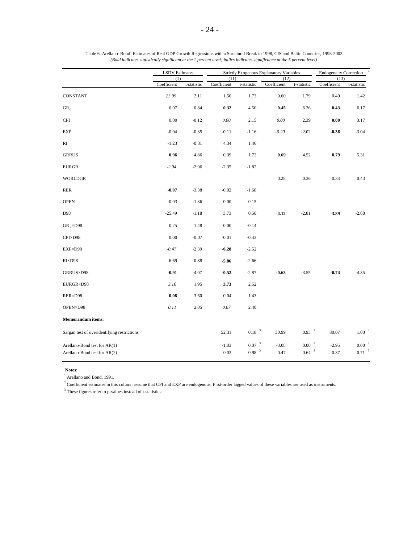|                                             | <b>LSDV</b> Estimates |             |                     |                   | Strictly Exogenous Explanatory Variables |                     | <b>Endogeneity Correction</b> |                   |
|---------------------------------------------|-----------------------|-------------|---------------------|-------------------|------------------------------------------|---------------------|-------------------------------|-------------------|
|                                             | (1)<br>Coefficient    | t-statistic | (11)<br>Coefficient | t-statistic       | (12)<br>Coefficient                      | t-statistic         | (13)<br>Coefficient           | t-statistic       |
| CONSTANT                                    | 23.99                 | 2.11        | 1.50                | 1.73              | 0.60                                     | 1.79                | 0.49                          | 1.42              |
| ${\rm GR}_{\text{-}1}$                      | 0.07                  | 0.84        | 0.32                | 4.50              | 0.45                                     | 6.36                | 0.43                          | 6.17              |
| <b>CPI</b>                                  | 0.00                  | $-0.12$     | $0.00\,$            | 2.15              | 0.00                                     | 2.39                | 0.00                          | 3.17              |
| <b>EXP</b>                                  | $-0.04$               | $-0.35$     | $-0.11$             | $-1.16$           | $-0.20$                                  | $-2.02$             | $-0.36$                       | $-3.04$           |
| RI                                          | $-1.23$               | $-0.31$     | 4.34                | 1.46              |                                          |                     |                               |                   |
| <b>GRRUS</b>                                | 0.96                  | 4.86        | 0.39                | 1.72              | 0.69                                     | 4.52                | 0.79                          | 5.31              |
| <b>EURGR</b>                                | $-2.94$               | $-2.06$     | $-2.35$             | $-1.82$           |                                          |                     |                               |                   |
| <b>WORLDGR</b>                              |                       |             |                     |                   | 0.28                                     | 0.36                | 0.33                          | 0.43              |
| <b>RER</b>                                  | $-0.07$               | $-3.38$     | $-0.02$             | $-1.68$           |                                          |                     |                               |                   |
| <b>OPEN</b>                                 | $-0.03$               | $-1.36$     | 0.00                | 0.15              |                                          |                     |                               |                   |
| D98                                         | $-25.49$              | $-1.18$     | 3.73                | 0.50              | $-4.12$                                  | $-2.81$             | $-3.89$                       | $-2.68$           |
| $GR_{-1} \times D98$                        | 0.25                  | 1.48        | 0.00                | $-0.14$           |                                          |                     |                               |                   |
| CPI×D98                                     | 0.00                  | $-0.07$     | $-0.01$             | $-0.43$           |                                          |                     |                               |                   |
| EXP×D98                                     | $-0.47$               | $-2.39$     | $-0.28$             | $-2.52$           |                                          |                     |                               |                   |
| $RI \times D98$                             | 6.69                  | 0.88        | $-5.86$             | $-2.66$           |                                          |                     |                               |                   |
| GRRUS×D98                                   | $-0.91$               | $-4.07$     | $-0.52$             | $-2.87$           | $-0.63$                                  | $-3.55$             | $-0.74$                       | $-4.35$           |
| EURGR×D98                                   | 3.10                  | 1.95        | 3.73                | 2.52              |                                          |                     |                               |                   |
| RER×D98                                     | 0.08                  | 3.60        | 0.04                | 1.43              |                                          |                     |                               |                   |
| OPEN×D98                                    | 0.11                  | 2.05        | 0.07                | 2.40              |                                          |                     |                               |                   |
| <b>Memorandum</b> items:                    |                       |             |                     |                   |                                          |                     |                               |                   |
| Sargan test of overidentifying restrictions |                       |             | 52.31               | 0.18 <sup>3</sup> | 30.99                                    | 0.93 <sup>3</sup>   | 80.07                         | $1.00-3$          |
| Arellano-Bond test for AR(1)                |                       |             | $-1.83$             | 0.07 <sup>3</sup> | $-3.08$                                  | 0.00 <sup>3</sup>   | $-2.95$                       | 0.00 <sup>3</sup> |
| Arellano-Bond test for AR(2)                |                       |             | 0.03                | 0.98 <sup>3</sup> | 0.47                                     | $0.64$ <sup>3</sup> | 0.37                          | $0.71^{-3}$       |

| Table 6. Arellano-Bond <sup>1</sup> Estimates of Real GDP Growth Regressions with a Structural Break in 1998, CIS and Baltic Countries, 1993-2003 |
|---------------------------------------------------------------------------------------------------------------------------------------------------|
| (Bold indicates statistically significant at the 1 percent level; italics indicates significance at the 5 percent level)                          |

<sup>1</sup> Arellano and Bond, 1991.

 $2$  Coefficient estimates in this column assume that CPI and EXP are endogenous. First-order lagged values of these variables are used as instruments.

 $^3$  These figures refer to p-values instead of t-statistics.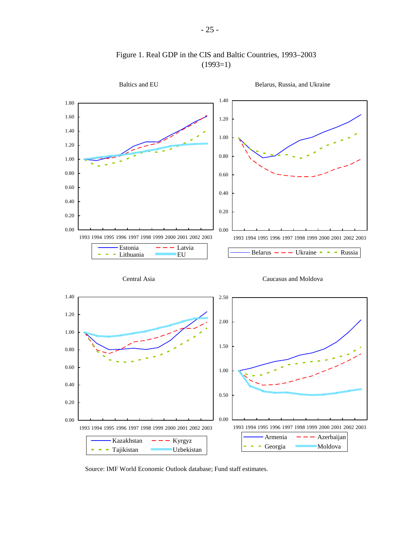

Figure 1. Real GDP in the CIS and Baltic Countries, 1993–2003  $(1993=1)$ 

Source: IMF World Economic Outlook database; Fund staff estimates.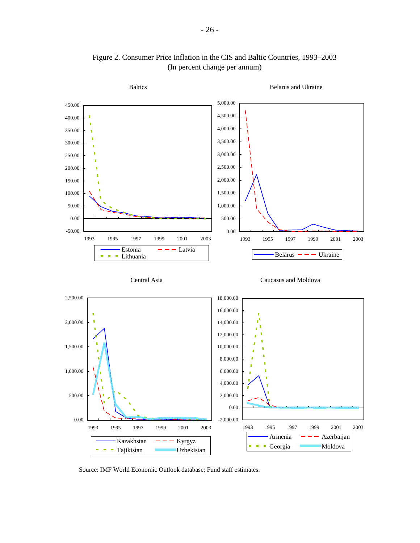

# Figure 2. Consumer Price Inflation in the CIS and Baltic Countries, 1993–2003 (In percent change per annum)

Source: IMF World Economic Outlook database; Fund staff estimates.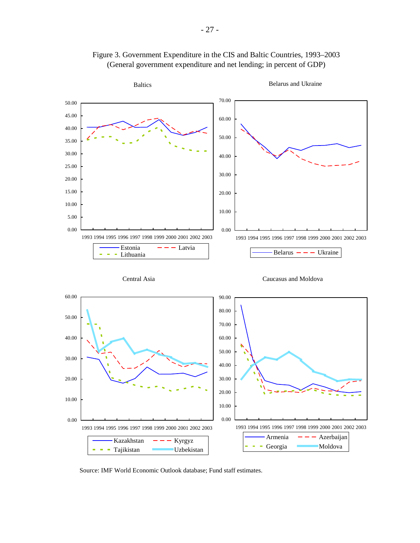



Source: IMF World Economic Outlook database; Fund staff estimates.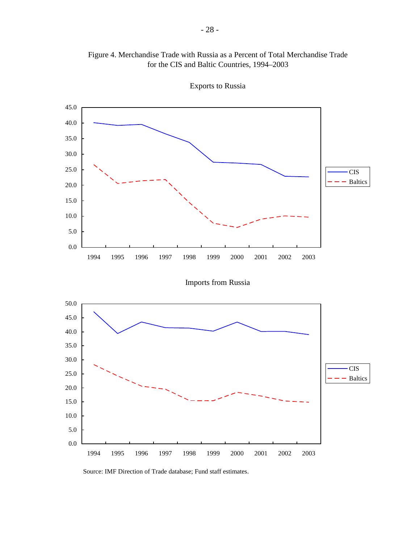

Figure 4. Merchandise Trade with Russia as a Percent of Total Merchandise Trade for the CIS and Baltic Countries, 1994–2003

Exports to Russia

Imports from Russia



Source: IMF Direction of Trade database; Fund staff estimates.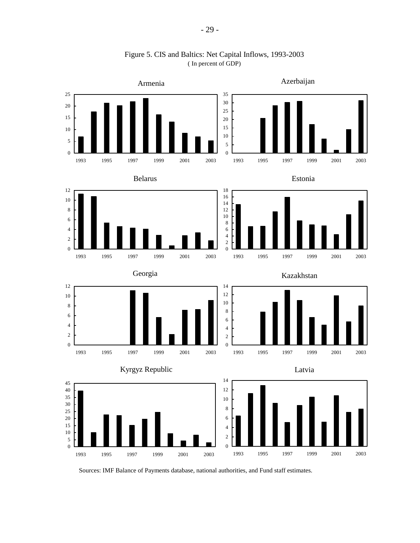

Figure 5. CIS and Baltics: Net Capital Inflows, 1993-2003 ( In percent of GDP)

Sources: IMF Balance of Payments database, national authorities, and Fund staff estimates.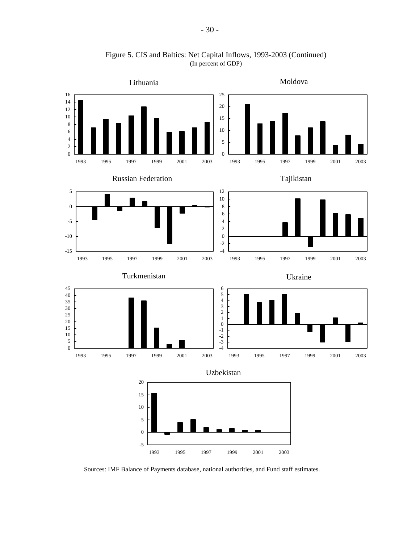

Figure 5. CIS and Baltics: Net Capital Inflows, 1993-2003 (Continued) (In percent of GDP)

Sources: IMF Balance of Payments database, national authorities, and Fund staff estimates.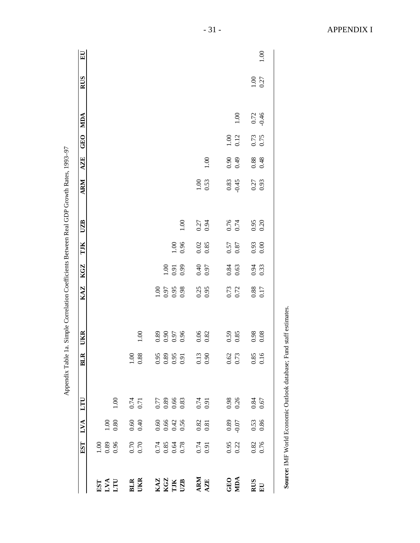|                                | EST                          | LVA                                         | LTU            | ELE              | <b>UKR</b>           | KAZ                 | KGZ                 | TJK  | <b>UZB</b> | ARM      | <b>AZE</b> | <b>GEO</b> | MDA      | <b>RUS</b>       | $\mathbf{E}$ |
|--------------------------------|------------------------------|---------------------------------------------|----------------|------------------|----------------------|---------------------|---------------------|------|------------|----------|------------|------------|----------|------------------|--------------|
| EST                            | $1.00\,$                     |                                             |                |                  |                      |                     |                     |      |            |          |            |            |          |                  |              |
| LVA<br>LTU                     | 0.89                         | 1.00                                        |                |                  |                      |                     |                     |      |            |          |            |            |          |                  |              |
|                                | 0.96                         | 0.80                                        | $1.00\,$       |                  |                      |                     |                     |      |            |          |            |            |          |                  |              |
| <b>BLR</b>                     | 0.70                         | 0.60                                        |                | $\leq$           |                      |                     |                     |      |            |          |            |            |          |                  |              |
| UKR                            | 0.70                         | 0.40                                        | $0.74$<br>0.71 | 0.88             | 1.00                 |                     |                     |      |            |          |            |            |          |                  |              |
|                                |                              | 0.60                                        | 0.77           | 0.95             | 0.89                 | $1.00\,$            |                     |      |            |          |            |            |          |                  |              |
| <b>KGZ<br/>KGZ<br/>TIK UZB</b> | 0.74<br>0.85<br>0.64<br>0.78 |                                             | $0.89\,$       | 0.89             | 0.96<br>0.97<br>0.96 | 0.97                |                     |      |            |          |            |            |          |                  |              |
|                                |                              | $0.66$<br>0.42                              | 0.66           | 0.95             |                      | 0.95                | $\frac{1.00}{0.91}$ | 00.1 |            |          |            |            |          |                  |              |
|                                |                              | 0.56                                        | 0.83           | $\overline{0.9}$ |                      | 0.98                | 0.99                | 0.96 | 1.00       |          |            |            |          |                  |              |
| ARM                            |                              |                                             | 0.74           | 0.13             | 0.06                 | 0.25                | 0.40                | 0.02 | 0.27       | $1.00\,$ |            |            |          |                  |              |
| AZE                            | $0.74$<br>0.91               | $\begin{array}{c} 0.82 \\ 0.81 \end{array}$ | 0.91           | $\overline{0.9}$ | 0.82                 | 0.95                | 0.97                | 0.85 | 0.94       | 0.53     | $1.00\,$   |            |          |                  |              |
|                                | 0.95                         | 0.89                                        | 0.98           | 0.62             | 0.59                 | 0.73                | 0.84                | 0.57 | 0.76       | 0.83     | 0.90       | 1.00       |          |                  |              |
| <b>GEO</b><br>MDA              | 0.22                         | $-0.07$                                     | 0.26           | 0.73             | 0.85                 | 0.72                | 0.63                | 0.87 | 0.74       | $-0.45$  | 64.0       | 0.12       | $1.00\,$ |                  |              |
| <b>RUS</b>                     | 0.82<br>0.76                 | 0.53<br>0.86                                | 0.84           | 0.85             | 0.98                 | $\boldsymbol{0.88}$ | 0.94                | 0.93 | 0.95       | 0.27     | $0.88\,$   | 0.73       | 0.72     | $1.00$<br>$0.27$ |              |
| $\mathbf{E}\mathbf{U}$         |                              |                                             | 0.67           | 0.16             | 0.08                 | 0.17                | 0.33                |      | 0.20       | 0.93     | 0.48       |            | $-0.46$  |                  | 1.00         |

- 31 - APPENDIX I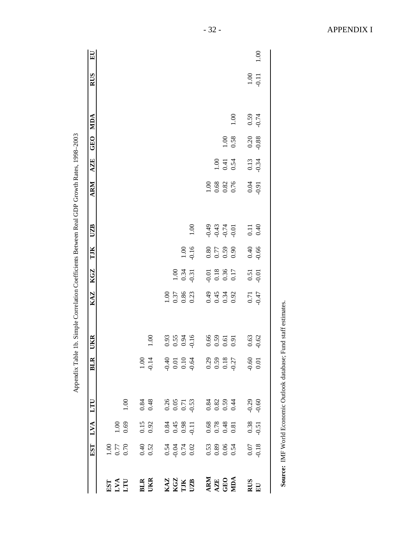|                                               | EST                                                         | LVA                                                         | LTU                                                         | <b>BLR</b>                                                  | UKR                                  | KAZ                          | KGZ                                                  | TJK                  | UZB                                  | <b>ARM</b>           | AZE                    | GEO               | MDA              | RUS               | $E_{\rm U}$ |
|-----------------------------------------------|-------------------------------------------------------------|-------------------------------------------------------------|-------------------------------------------------------------|-------------------------------------------------------------|--------------------------------------|------------------------------|------------------------------------------------------|----------------------|--------------------------------------|----------------------|------------------------|-------------------|------------------|-------------------|-------------|
|                                               |                                                             |                                                             |                                                             |                                                             |                                      |                              |                                                      |                      |                                      |                      |                        |                   |                  |                   |             |
|                                               | 1.00<br>77.0                                                |                                                             |                                                             |                                                             |                                      |                              |                                                      |                      |                                      |                      |                        |                   |                  |                   |             |
| EST<br>LVA<br>LITU                            |                                                             | $\frac{1.00}{0.69}$                                         | $1.00\,$                                                    |                                                             |                                      |                              |                                                      |                      |                                      |                      |                        |                   |                  |                   |             |
|                                               |                                                             |                                                             |                                                             |                                                             |                                      |                              |                                                      |                      |                                      |                      |                        |                   |                  |                   |             |
| <b>BLR</b><br>UKR                             | $0.40$<br>$0.52$                                            | $0.15$<br>0.92                                              | $0.84$<br>0.48                                              | $1.00$<br>$0.14$                                            | $1.00\,$                             |                              |                                                      |                      |                                      |                      |                        |                   |                  |                   |             |
|                                               |                                                             |                                                             |                                                             |                                                             |                                      |                              |                                                      |                      |                                      |                      |                        |                   |                  |                   |             |
|                                               |                                                             | $0.84$<br>$0.45$<br>$0.98$<br>$0.11$                        |                                                             |                                                             | $0.93$<br>$0.55$<br>$0.94$<br>$0.16$ | 1.00<br>0.37<br>0.86<br>0.23 |                                                      |                      |                                      |                      |                        |                   |                  |                   |             |
|                                               |                                                             |                                                             |                                                             |                                                             |                                      |                              |                                                      |                      |                                      |                      |                        |                   |                  |                   |             |
| KAZ<br>KGZ<br>UJK<br>UZB                      | $0.54$<br>0.04<br>0.02                                      |                                                             | $\begin{array}{c} 0.26 \\ 0.05 \\ 0.71 \\ 0.53 \end{array}$ | $0.10$<br>0.10<br>0.10<br>0.4                               |                                      |                              | $\begin{array}{c} 1.00 \\ 0.34 \\ -0.31 \end{array}$ | $1.00$<br>$0.16$     | $1.00\,$                             |                      |                        |                   |                  |                   |             |
| <b>ARM</b><br><b>AZE</b><br>GEO<br><b>MDA</b> |                                                             |                                                             |                                                             |                                                             |                                      |                              |                                                      |                      |                                      |                      |                        |                   |                  |                   |             |
|                                               | $\begin{array}{c} 0.53 \\ 0.89 \\ 0.06 \\ 0.54 \end{array}$ | $\begin{array}{c} 0.68 \\ 0.78 \\ 0.48 \\ 0.81 \end{array}$ | 0.84<br>0.82<br>0.59                                        | $\begin{array}{c} 0.29 \\ 0.59 \\ 0.18 \\ 0.27 \end{array}$ | $0.59$<br>$0.51$<br>$0.91$           | 0.45<br>0.34<br>0.92         | $-0.01$<br>0.18<br>0.36<br>0.17                      | 0.80<br>0.50<br>0.50 | $0.49$<br>$0.74$<br>$0.01$<br>$0.01$ | 1.00<br>0.68<br>0.76 |                        |                   |                  |                   |             |
|                                               |                                                             |                                                             |                                                             |                                                             |                                      |                              |                                                      |                      |                                      |                      | $1.00$<br>0.41<br>0.54 | 1.00<br>0.58      |                  |                   |             |
|                                               |                                                             |                                                             |                                                             |                                                             |                                      |                              |                                                      |                      |                                      |                      |                        |                   | $1.00\,$         |                   |             |
| RUS<br>EU                                     |                                                             |                                                             |                                                             |                                                             |                                      |                              |                                                      |                      |                                      |                      |                        |                   |                  |                   |             |
|                                               | $0.07$<br>0.18                                              | $0.38$<br>$-0.51$                                           | $-0.29$                                                     | 0.60                                                        | $0.63$<br>$-0.62$                    | $0.71$<br>$-0.47$            | 0.51                                                 | $0.40$<br>$0.66$     | $0.11$<br>0.40                       | 0.04                 | 0.13                   | $0.20$<br>$-0.88$ | $0.59$<br>$0.74$ | $1.00$<br>$-0.11$ | $1.00\,$    |

Appendix Table 1b. Simple Correlation Coefficients Between Real GDP Growth Rates, 1998-2003 Appendix Table 1b. Simple Correlation Coefficients Between Real GDP Growth Rates, 1998–2003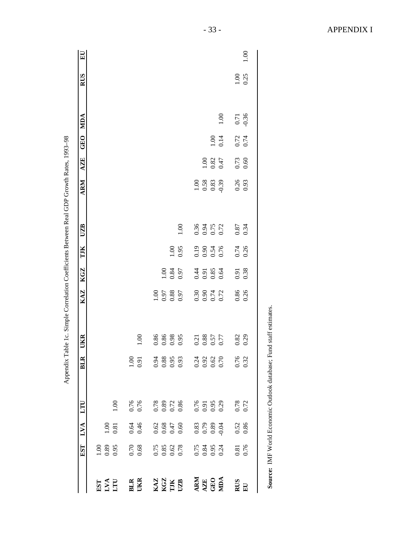|                                                                                                             | EST                                                         | LVA                    | LTU                          | <b>BLR</b> | UKR                                                         | KAZ                          | <b>KGZ</b>           | TJK                  | UZB                  | ARM                            | <b>AZE</b>                                          | <b>GEO</b>       | MDA              | <b>RUS</b>     | $E$ U |
|-------------------------------------------------------------------------------------------------------------|-------------------------------------------------------------|------------------------|------------------------------|------------|-------------------------------------------------------------|------------------------------|----------------------|----------------------|----------------------|--------------------------------|-----------------------------------------------------|------------------|------------------|----------------|-------|
| EST                                                                                                         | 1.00                                                        |                        |                              |            |                                                             |                              |                      |                      |                      |                                |                                                     |                  |                  |                |       |
| LVA<br>LTU                                                                                                  | 0.89                                                        | 00.1                   |                              |            |                                                             |                              |                      |                      |                      |                                |                                                     |                  |                  |                |       |
|                                                                                                             | 0.95                                                        | 0.81                   | 1.00                         |            |                                                             |                              |                      |                      |                      |                                |                                                     |                  |                  |                |       |
| <b>BLR</b>                                                                                                  | 0.70                                                        |                        |                              | 1.00       |                                                             |                              |                      |                      |                      |                                |                                                     |                  |                  |                |       |
| UKR                                                                                                         | 0.68                                                        | 0.46                   | 0.76                         | 0.91       | 1.00                                                        |                              |                      |                      |                      |                                |                                                     |                  |                  |                |       |
|                                                                                                             |                                                             |                        |                              | 0.94       | 0.86                                                        |                              |                      |                      |                      |                                |                                                     |                  |                  |                |       |
| $\begin{array}{l} \textbf{K1Z} \\ \textbf{K1Z} \\ \textbf{I1K} \\ \textbf{I2L} \\ \textbf{I3L} \end{array}$ | $\begin{array}{c} 0.75 \\ 0.85 \\ 0.62 \\ 0.78 \end{array}$ | $0.62$<br>0.68<br>0.47 | 0.78<br>0.89<br>0.86         | 0.88       | 0.86<br>0.98                                                | 1.00<br>0.97<br>0.88<br>0.97 |                      |                      |                      |                                |                                                     |                  |                  |                |       |
|                                                                                                             |                                                             |                        |                              | 0.95       |                                                             |                              | 1.00<br>0.84<br>0.97 |                      |                      |                                |                                                     |                  |                  |                |       |
|                                                                                                             |                                                             | 0.60                   |                              | 0.93       |                                                             |                              |                      | 1.00                 | $1.00\,$             |                                |                                                     |                  |                  |                |       |
| ARM                                                                                                         |                                                             |                        |                              | 0.24       |                                                             |                              |                      |                      |                      |                                |                                                     |                  |                  |                |       |
|                                                                                                             | 0.75<br>0.84<br>0.24                                        | $0.83$<br>0.79<br>0.89 | 0.76<br>0.91<br>0.95<br>0.29 | 0.92       | $\begin{array}{c} 0.21 \\ 0.88 \\ 0.57 \\ 0.77 \end{array}$ | $0.30$<br>$0.90$<br>$0.72$   | 0.35<br>0.35<br>0.64 | 0.19<br>0.54<br>0.76 | 0.36<br>0.75<br>0.72 | $1.00$<br>0.58<br>0.63<br>0.39 |                                                     |                  |                  |                |       |
| AZE<br>GEO                                                                                                  |                                                             |                        |                              | 0.62       |                                                             |                              |                      |                      |                      |                                | $\begin{array}{c} 1.00 \\ 0.82 \\ 0.47 \end{array}$ |                  |                  |                |       |
| MIDA                                                                                                        |                                                             | $-0.04$                |                              | 0.70       |                                                             |                              |                      |                      |                      |                                |                                                     | $1.00$<br>0.14   | $1.00\,$         |                |       |
| <b>RUS</b>                                                                                                  |                                                             |                        |                              | 0.76       | 0.82                                                        |                              | 0.91                 | 0.74<br>0.26         |                      | 0.26                           | $0.73$<br>$0.60$                                    |                  |                  |                |       |
| $\mathbf{E}\mathbf{U}$                                                                                      | 0.81<br>0.76                                                | 0.52<br>0.86           | $0.78$<br>$0.72$             | 0.32       | 0.29                                                        | 0.86<br>0.26                 |                      |                      | 0.34                 |                                |                                                     | $0.72$<br>$0.74$ | $0.71$<br>$0.36$ | $1.00$<br>0.25 | 00.1  |

Appendix Table 1c. Simple Correlation Coefficients Between Real GDP Growth Rates, 1993-98 Appendix Table 1c. Simple Correlation Coefficients Between Real GDP Growth Rates, 1993–98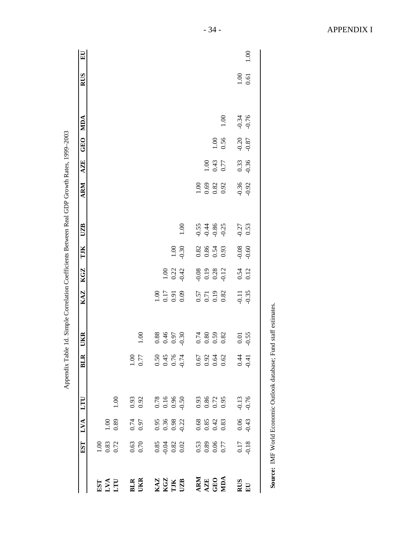|                                                                                             | <b>EST</b>                                          | LVA                                                         | LTU                            | BLR                 | UKR                          | KAZ                          | KGZ                          | TJK                        | UZB                          | <b>ARM</b>                                                  | <b>AZE</b> | GEO     | MDA     | <b>RUS</b> | $E_{\rm U}$ |
|---------------------------------------------------------------------------------------------|-----------------------------------------------------|-------------------------------------------------------------|--------------------------------|---------------------|------------------------------|------------------------------|------------------------------|----------------------------|------------------------------|-------------------------------------------------------------|------------|---------|---------|------------|-------------|
|                                                                                             |                                                     |                                                             |                                |                     |                              |                              |                              |                            |                              |                                                             |            |         |         |            |             |
| EST<br>LVA<br>LTU                                                                           | $\begin{array}{c} 1.00 \\ 0.83 \\ 0.72 \end{array}$ |                                                             |                                |                     |                              |                              |                              |                            |                              |                                                             |            |         |         |            |             |
|                                                                                             |                                                     | 1.00<br>0.89                                                | 1.00                           |                     |                              |                              |                              |                            |                              |                                                             |            |         |         |            |             |
| <b>BLR</b>                                                                                  |                                                     |                                                             | 0.93                           | $\frac{0}{1}$       |                              |                              |                              |                            |                              |                                                             |            |         |         |            |             |
| UKR                                                                                         | $\begin{array}{c} 0.63 \\ 0.70 \end{array}$         | 0.74                                                        | 0.92                           | 0.77                | 1.00                         |                              |                              |                            |                              |                                                             |            |         |         |            |             |
|                                                                                             |                                                     |                                                             |                                |                     |                              |                              |                              |                            |                              |                                                             |            |         |         |            |             |
| $\begin{array}{l} \textbf{KAZ} \\ \textbf{KGZ} \\ \textbf{IJK} \\ \textbf{IJK} \end{array}$ | $0.85$<br>$0.04$<br>$0.02$<br>$0.02$                | 0.95<br>0.98<br>0.0.22                                      | $0.78$<br>0.96<br>0.90<br>0.50 | 0.56<br>0.45<br>0.5 | 0.36<br>0.46<br>0.50<br>0.90 | 1.00<br>0.17<br>0.91<br>0.09 |                              |                            |                              |                                                             |            |         |         |            |             |
|                                                                                             |                                                     |                                                             |                                |                     |                              |                              | $1.00$<br>0.22               | $1.00\,$                   |                              |                                                             |            |         |         |            |             |
|                                                                                             |                                                     |                                                             |                                | $-0.74$             |                              |                              | $-0.42$                      | 0.30                       | 1.00                         |                                                             |            |         |         |            |             |
|                                                                                             |                                                     |                                                             |                                | 0.67                |                              |                              |                              |                            |                              |                                                             |            |         |         |            |             |
| <b>ARM</b><br><b>AZE</b><br>GEO<br>MDA                                                      | 0.53<br>0.89<br>0.77                                | $\begin{array}{c} 0.68 \\ 0.85 \\ 0.42 \\ 0.83 \end{array}$ | $0.93$<br>$0.86$<br>$0.72$     | 0.92                | $0.80$<br>0.59               | 0.57<br>0.71<br>0.19<br>0.82 | 0.19<br>0.19<br>0.12<br>0.12 | $0.82$<br>$0.86$<br>$0.54$ | $0.488$<br>$0.488$<br>$0.55$ | $\begin{array}{c} 1.00 \\ 0.69 \\ 0.82 \\ 0.92 \end{array}$ | 00.1       |         |         |            |             |
|                                                                                             |                                                     |                                                             |                                | 0.64                |                              |                              |                              |                            |                              |                                                             | 0.43       | 1.00    |         |            |             |
|                                                                                             |                                                     |                                                             | 0.95                           | 0.62                | 0.82                         |                              |                              | 0.93                       |                              |                                                             | 0.77       | 0.56    | 1.00    |            |             |
| RUS<br>EU                                                                                   |                                                     |                                                             | $-0.13$                        | $\frac{4}{3}$       | 0.01                         | $-0.11$                      | $0.54$<br>$0.12$             | 0.08                       | $-0.27$                      | $-0.36$                                                     |            | $-0.20$ | $-0.34$ | $1.00\,$   |             |
|                                                                                             | $0.17$<br>$-0.18$                                   | $0.06$<br>$-0.43$                                           | $-0.76$                        | $-0.41$             | $-0.55$                      | $-0.35$                      |                              |                            | 0.53                         | $-0.92$                                                     | 0.33       | $-0.87$ | $-0.76$ | 0.61       | 1.00        |

1999-2003  $\tilde{P}$  $\frac{1}{4}$ י"י פרדי <sub>ה</sub>' ă  $\frac{1}{2}$  $\ddot{\phantom{a}}$ ਪੰ  $\zeta$  $\cdot$ ÷ ć J. ृ  $\mathbf{1}$ Table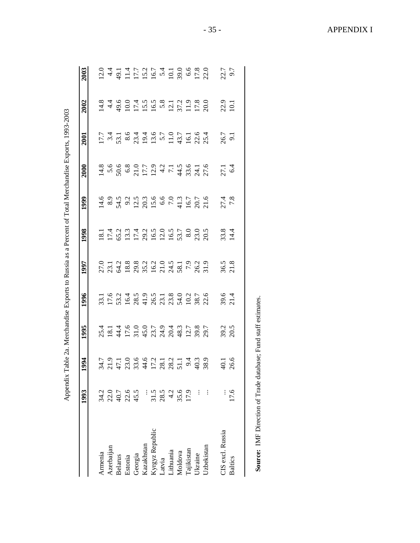|                   | 1993                        | 1994           | 1995         | 1996           | 1997                                                     | 1998         | 1999                                                                     | 2000                         | <b>2001</b> | 2002         | 2003                        |
|-------------------|-----------------------------|----------------|--------------|----------------|----------------------------------------------------------|--------------|--------------------------------------------------------------------------|------------------------------|-------------|--------------|-----------------------------|
| Armenia           | 34.2                        |                |              |                |                                                          |              |                                                                          |                              |             |              |                             |
| Azerbaijan        |                             |                |              |                | 0 1 1 2 3 3 4 4 5 6 7 7 9 7<br>5 5 7 8 9 7 7 7 7 8 7 8 7 |              | 1 8 9 9 10 10 10 10 11 11 12 10 11<br>1 8 9 9 11 12 10 10 11 11 12 10 11 | はってるのにいい!!<br>はってるのにいい!! おおび |             |              | $2149117777777778887288728$ |
| <b>Belarus</b>    | 210<br>40.7<br>45.5<br>45.5 |                |              |                |                                                          |              |                                                                          |                              |             |              |                             |
| Estonia           |                             |                |              |                |                                                          |              |                                                                          |                              |             |              |                             |
| Georgia           |                             |                |              |                |                                                          |              |                                                                          |                              |             |              |                             |
| Kazakhstan        |                             |                |              |                |                                                          |              |                                                                          |                              |             |              |                             |
| Kyrgyz Republic   |                             |                |              |                |                                                          |              |                                                                          |                              |             |              |                             |
| Latvia            | $31.5$<br>$28.5$            |                |              |                |                                                          |              |                                                                          |                              |             |              |                             |
| Lithuania         | 4.2                         |                |              |                |                                                          |              |                                                                          |                              |             |              |                             |
| Moldova           |                             |                |              |                |                                                          |              |                                                                          |                              |             |              |                             |
| <b>Tajikistan</b> | 35.6                        |                |              |                |                                                          |              |                                                                          |                              |             |              |                             |
| <b>Jkraine</b>    |                             |                |              |                |                                                          |              |                                                                          |                              |             |              |                             |
| Uzbekistan        |                             |                |              |                |                                                          |              |                                                                          |                              |             |              |                             |
| CIS excl. Russia  |                             | $\overline{5}$ |              |                |                                                          |              | $27.4$<br>$7.8$                                                          | $27.1$<br>6.4                |             |              |                             |
| <b>Baltics</b>    | 17.6                        | 26.6           | 39.2<br>20.5 | $39.6$<br>21.4 | $36.5$<br>21.8                                           | 33.8<br>14.4 |                                                                          |                              | 26.7<br>9.1 | 22.9<br>10.1 | 22.7<br>9.7                 |

Appendix Table 2a. Merchandise Exports to Russia as a Percent of Total Merchandise Exports, 1993-2003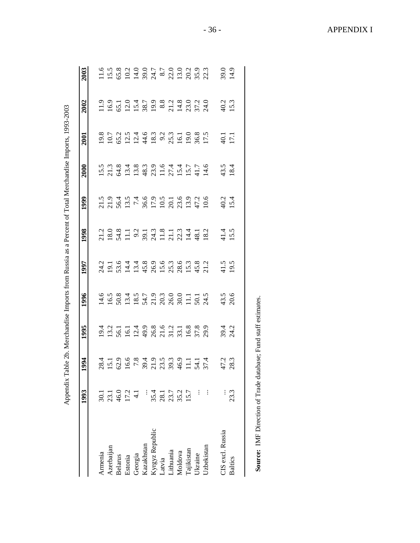|                   | 1993                                 | 1994                | 1995         | 1996            | 1997                                                          | 1998             | 1999                | 2000                               | 2001 | 2002           | 2003         |
|-------------------|--------------------------------------|---------------------|--------------|-----------------|---------------------------------------------------------------|------------------|---------------------|------------------------------------|------|----------------|--------------|
| Armenia           | $\overline{30.1}$                    |                     |              |                 |                                                               |                  |                     |                                    |      |                |              |
| Azerbaijan        |                                      |                     |              | 458445733837175 | 21 1 9 4 4 8 9 9 9 9 9 9 9 9 1<br>2 9 9 4 9 9 9 9 9 9 9 9 9 9 |                  |                     |                                    |      |                |              |
| <b>Belarus</b>    |                                      |                     |              |                 |                                                               |                  |                     |                                    |      |                |              |
| Estonia           | $23.1$<br>46.0<br>17.2<br>4.1        |                     |              |                 |                                                               |                  |                     |                                    |      |                |              |
| Georgia           |                                      |                     |              |                 |                                                               |                  |                     |                                    |      |                |              |
| Kazakhstan        |                                      |                     |              |                 |                                                               |                  |                     |                                    |      |                |              |
| Kyrgyz Republic   |                                      |                     |              |                 |                                                               |                  |                     |                                    |      |                |              |
| Latvia            |                                      |                     |              |                 |                                                               |                  |                     |                                    |      |                |              |
| Lithuania         | $35.1$<br>$28.1$<br>$25.2$<br>$35.7$ |                     |              |                 |                                                               |                  |                     |                                    |      |                |              |
| Moldova           |                                      |                     |              |                 |                                                               |                  |                     |                                    |      |                |              |
| Tajikistan        |                                      |                     |              |                 |                                                               |                  |                     |                                    |      |                |              |
| <b>Jkraine</b>    |                                      |                     |              |                 |                                                               |                  |                     |                                    |      |                |              |
| <b>Jzbekistan</b> |                                      | $28.19688498997774$ |              |                 |                                                               |                  |                     | ちれんにはおおけいけいかい はれる さいりょう いっとう こうきょう |      |                |              |
| CIS excl. Russia  |                                      | 47.2                |              | 43.5            |                                                               | $11.4$<br>$15.5$ | $\frac{40.2}{15.4}$ |                                    | 17.1 |                |              |
| <b>Baltics</b>    | 23.3                                 | 28.3                | 39.4<br>24.2 | 20.6            | $1.5$<br>19.5                                                 |                  |                     | $43.5$<br>18.4                     |      | $40.2$<br>15.3 | 39.0<br>14.9 |

| $\frac{1}{3}$                                                                               |   |
|---------------------------------------------------------------------------------------------|---|
| j<br>Í<br>ļ                                                                                 |   |
|                                                                                             |   |
| .<br>.<br>.                                                                                 |   |
| 1<br>!                                                                                      |   |
| i<br>Santa Caracter                                                                         |   |
| j                                                                                           |   |
| $-10$                                                                                       |   |
| ֧֧֧֧֧֧֧֧֧֧֧֧֧֧֧֡֬֓֝֬֓֝֬֓֝֬֓֓֝֬֓֓֝֬֝֬֓֝֬֝֬֓֝֬֝֬֝֬֝֬֝֬֝֬֓<br>֧֧֖֖֖֖֖֧֖֚֚֚֚֚֚֚֚֚֚֚֚֚֚֚֚֚֝֝֝֟֩֩ |   |
| í                                                                                           | i |
|                                                                                             |   |

Appendix Table 2b. Merchandise Imports from Russia as a Percent of Total Merchandise Imports, 1993-2003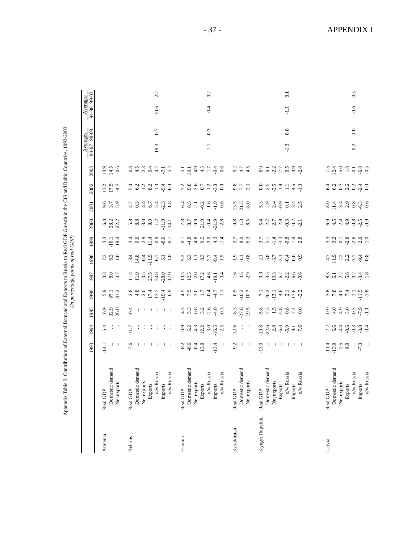| י<br>י                                                                          |  |
|---------------------------------------------------------------------------------|--|
|                                                                                 |  |
|                                                                                 |  |
|                                                                                 |  |
|                                                                                 |  |
| -<br>-<br>-                                                                     |  |
|                                                                                 |  |
|                                                                                 |  |
| ֧֖֖֖֧֧ׅ֧ׅ֧֧֧ׅ֧֪֪֪֪֪֪֪֪֪֪֪֪֪֪֪֪֪֪֪֪֪֪֪֪֪֪֪֪֪֪֚֚֚֚֚֚֚֚֚֚֚֚֚֚֚֚֚֚֚֚֡֬֝֝֓֝֬֜֓֝֬֝֓֜֓ |  |
|                                                                                 |  |
|                                                                                 |  |
| i<br>Si                                                                         |  |
|                                                                                 |  |
|                                                                                 |  |
|                                                                                 |  |
|                                                                                 |  |
|                                                                                 |  |
|                                                                                 |  |
|                                                                                 |  |
|                                                                                 |  |
|                                                                                 |  |
| $\overline{\phantom{a}}$                                                        |  |
|                                                                                 |  |
|                                                                                 |  |
|                                                                                 |  |
|                                                                                 |  |
|                                                                                 |  |
|                                                                                 |  |
|                                                                                 |  |
| ļ                                                                               |  |
|                                                                                 |  |
|                                                                                 |  |
|                                                                                 |  |
|                                                                                 |  |
|                                                                                 |  |
| l                                                                               |  |
| おい 中心につ                                                                         |  |
|                                                                                 |  |
|                                                                                 |  |
| i<br>.<br>וּ                                                                    |  |
|                                                                                 |  |

|                 | Table 3. Contribution of External Demand and Exports to Russia to Real GDP Growth in the CIS and Baltic Countries, 1993-2003<br>Appendix |                  |                                                                                                                                         |                                    |                                                     |                                                                                                                                                                                                              | (In percentage points of real GDP)                           |                                                                                                                                               |                                                                                 |                                                                                                                         |                             |            |                         |        |                         |                |
|-----------------|------------------------------------------------------------------------------------------------------------------------------------------|------------------|-----------------------------------------------------------------------------------------------------------------------------------------|------------------------------------|-----------------------------------------------------|--------------------------------------------------------------------------------------------------------------------------------------------------------------------------------------------------------------|--------------------------------------------------------------|-----------------------------------------------------------------------------------------------------------------------------------------------|---------------------------------------------------------------------------------|-------------------------------------------------------------------------------------------------------------------------|-----------------------------|------------|-------------------------|--------|-------------------------|----------------|
|                 |                                                                                                                                          | 1993             | 1994                                                                                                                                    | 1995                               | 1996                                                | 1997                                                                                                                                                                                                         | 1998                                                         | 1999                                                                                                                                          | 2000                                                                            | 2001                                                                                                                    | 2002                        | 2003       | Averages<br>94-97 98-03 |        | 94-98 99-03<br>Averages |                |
| Armenia         | Real GDP                                                                                                                                 | $-14.1$          | 5.4                                                                                                                                     |                                    |                                                     |                                                                                                                                                                                                              | $7.\overline{3}$                                             |                                                                                                                                               |                                                                                 |                                                                                                                         | 13.2                        | 13.9       |                         |        |                         |                |
|                 | Domestic demand                                                                                                                          |                  |                                                                                                                                         | $6.9$<br>$32.9$<br>$26.0$          | $5.9$<br>$87.1$<br>$81.2$                           | $3.30$<br>$-4.7$                                                                                                                                                                                             |                                                              | $3.3$<br>$-16.1$<br>$19.4$                                                                                                                    | 6.0<br>28.2<br>22.2                                                             | 9.59                                                                                                                    |                             | 14.5       |                         |        |                         |                |
|                 | Net exports                                                                                                                              | - 3              | - :                                                                                                                                     |                                    |                                                     |                                                                                                                                                                                                              | $\overline{1.0}$                                             |                                                                                                                                               |                                                                                 |                                                                                                                         | $-4.3$                      |            |                         |        |                         |                |
| Belarus         | Real GDP                                                                                                                                 | $-7.6$           | $-11.7$                                                                                                                                 | $-10.4$                            |                                                     |                                                                                                                                                                                                              |                                                              |                                                                                                                                               |                                                                                 |                                                                                                                         |                             |            |                         |        |                         |                |
|                 | Domestic demand                                                                                                                          |                  |                                                                                                                                         | ÷                                  |                                                     | $11.9$<br>$11.9$                                                                                                                                                                                             |                                                              |                                                                                                                                               |                                                                                 |                                                                                                                         | $5.0$<br>$6.2$              |            |                         |        |                         |                |
|                 | Net exports                                                                                                                              | 王王               | 王王王                                                                                                                                     |                                    |                                                     | $-0.5$<br>27.5                                                                                                                                                                                               |                                                              |                                                                                                                                               |                                                                                 |                                                                                                                         |                             |            |                         |        |                         |                |
|                 | Exports                                                                                                                                  | -303             |                                                                                                                                         |                                    |                                                     |                                                                                                                                                                                                              |                                                              |                                                                                                                                               |                                                                                 |                                                                                                                         |                             |            |                         |        |                         |                |
|                 | $o/w$ Russia                                                                                                                             |                  |                                                                                                                                         |                                    |                                                     | 24.8                                                                                                                                                                                                         |                                                              |                                                                                                                                               |                                                                                 |                                                                                                                         |                             |            | 19.3                    | 0.7    | $10.6\,$                | 2.2            |
|                 | Imports                                                                                                                                  | - 101            |                                                                                                                                         | 计主主义主                              |                                                     | $-28.0$                                                                                                                                                                                                      |                                                              | $\frac{4}{3}$ , $\frac{6}{3}$ , $\frac{3}{4}$ , $\frac{3}{5}$ , $\frac{6}{7}$ , $\frac{1}{1}$ , $\frac{3}{7}$ , $\frac{6}{7}$ , $\frac{1}{1}$ | $\begin{array}{c} 8,8,8,9,9,9,1\\ 8,8,9,9,8,1\\ 9,1,9,1\\ 1,1,1\\ 1\end{array}$ | 7.040404                                                                                                                | $7.399$ $7.49$              |            |                         |        |                         |                |
|                 | o/w Russia                                                                                                                               |                  |                                                                                                                                         |                                    | $-6.9$                                              |                                                                                                                                                                                                              |                                                              |                                                                                                                                               |                                                                                 |                                                                                                                         |                             |            |                         |        |                         |                |
| Estonia         | Real GDP                                                                                                                                 |                  | $^{0.9}$                                                                                                                                |                                    |                                                     |                                                                                                                                                                                                              |                                                              |                                                                                                                                               |                                                                                 |                                                                                                                         |                             |            |                         |        |                         |                |
|                 | Domestic demand                                                                                                                          | $\frac{8}{3}$ .6 |                                                                                                                                         |                                    |                                                     |                                                                                                                                                                                                              |                                                              |                                                                                                                                               |                                                                                 |                                                                                                                         |                             |            |                         |        |                         |                |
|                 | Net exports                                                                                                                              | 0.4              |                                                                                                                                         |                                    |                                                     |                                                                                                                                                                                                              |                                                              |                                                                                                                                               |                                                                                 |                                                                                                                         |                             |            |                         |        |                         |                |
|                 | Exports                                                                                                                                  | 13.8             |                                                                                                                                         | 4 5 9 9 9 9 9 9<br>4 5 9 9 9 9 9 9 | $4 - 4 - 5 - 4 - 1$<br>$4 - 5 - 4 - 1 - 1$          | $\begin{array}{c} 10.5 \\ 12.1 \\ 1 \end{array} \begin{array}{c} 12.1 \\ 1 \end{array} \begin{array}{c} 12.1 \\ 1 \end{array} \begin{array}{c} 12.1 \\ 1 \end{array} \begin{array}{c} 12.1 \\ 1 \end{array}$ | 25.33777                                                     | $-3.8899997$                                                                                                                                  | 78.9979999                                                                      | $\frac{45}{6}$ $\frac{11}{6}$ $\frac{11}{6}$ $\frac{11}{6}$ $\frac{11}{6}$ $\frac{11}{6}$ $\frac{11}{6}$ $\frac{11}{6}$ | 7.8972190                   |            |                         |        |                         |                |
|                 | $\mathrm{o/w}$ Russia                                                                                                                    |                  |                                                                                                                                         |                                    |                                                     |                                                                                                                                                                                                              |                                                              |                                                                                                                                               |                                                                                 |                                                                                                                         |                             |            | $\Xi$                   | $-0.3$ | 0.4                     | 0.2            |
|                 | Imports                                                                                                                                  | $-13.4$          | $-16.5$                                                                                                                                 |                                    |                                                     |                                                                                                                                                                                                              |                                                              |                                                                                                                                               |                                                                                 |                                                                                                                         |                             |            |                         |        |                         |                |
|                 | o/w Russia                                                                                                                               |                  |                                                                                                                                         |                                    |                                                     |                                                                                                                                                                                                              |                                                              |                                                                                                                                               |                                                                                 |                                                                                                                         |                             |            |                         |        |                         |                |
| Kazakhstan      | Real GDP                                                                                                                                 | $-9.2$           | $-12.6$                                                                                                                                 |                                    |                                                     |                                                                                                                                                                                                              |                                                              |                                                                                                                                               |                                                                                 |                                                                                                                         |                             |            |                         |        |                         |                |
|                 | Domestic demand                                                                                                                          |                  |                                                                                                                                         |                                    |                                                     |                                                                                                                                                                                                              |                                                              |                                                                                                                                               |                                                                                 |                                                                                                                         |                             |            |                         |        |                         |                |
|                 | Net exports                                                                                                                              | 主任               | $\frac{1}{2}$                                                                                                                           | $-8.3$<br>$-2.8$<br>$-19.5$        | $\begin{array}{c} 0.5 \\ -10.2 \\ 10.7 \end{array}$ | $1.6$<br>$4.5$<br>$-2.9$                                                                                                                                                                                     | $-1.3$                                                       | $2.50$<br>$-2.5$                                                                                                                              | 9.38                                                                            | $13.5$<br>$21.5$<br>$-8.0$                                                                                              | $3.7$<br>$7.7$<br>$2.1$     | 3.74.5     |                         |        |                         |                |
|                 |                                                                                                                                          |                  |                                                                                                                                         |                                    |                                                     |                                                                                                                                                                                                              |                                                              |                                                                                                                                               |                                                                                 |                                                                                                                         |                             |            |                         |        |                         |                |
| Kyrgyz Republic | Real GDP                                                                                                                                 | $-13.0$          |                                                                                                                                         |                                    |                                                     |                                                                                                                                                                                                              |                                                              |                                                                                                                                               |                                                                                 |                                                                                                                         |                             |            |                         |        |                         |                |
|                 | Domestic demand                                                                                                                          | ÷                |                                                                                                                                         |                                    |                                                     |                                                                                                                                                                                                              |                                                              |                                                                                                                                               |                                                                                 |                                                                                                                         |                             |            |                         |        |                         |                |
|                 | Net exports                                                                                                                              | $\cdot$ :        |                                                                                                                                         |                                    |                                                     |                                                                                                                                                                                                              |                                                              |                                                                                                                                               |                                                                                 |                                                                                                                         |                             |            |                         |        |                         |                |
|                 | Exports                                                                                                                                  | - 194            |                                                                                                                                         |                                    |                                                     |                                                                                                                                                                                                              |                                                              |                                                                                                                                               |                                                                                 |                                                                                                                         |                             |            |                         |        |                         |                |
|                 | $o/w$ Russia                                                                                                                             |                  | $\frac{38}{12}$<br>$\frac{36}{12}$<br>$\frac{8}{12}$<br>$\frac{6}{12}$<br>$\frac{6}{12}$<br>$\frac{6}{12}$<br>$\frac{6}{12}$<br><br>7.6 |                                    | $7.1$ $20.1$ $4.6$ $7.1$ $5.1$ $6.1$ $7.1$          | $9.9.9.26$ $1.366$                                                                                                                                                                                           | 7.8777499                                                    |                                                                                                                                               | 4 1 1 1 2 3 4 5 4<br>5 6 7 8 9 9 9 9                                            | contropical<br>contropical                                                                                              | $0.55$ $0.73$ $0.73$ $1.43$ | 9.7277998  | $-1.3$                  | 0.0    | 급                       | $\overline{c}$ |
|                 | Imports                                                                                                                                  | - 194            |                                                                                                                                         |                                    |                                                     |                                                                                                                                                                                                              |                                                              |                                                                                                                                               |                                                                                 |                                                                                                                         |                             |            |                         |        |                         |                |
|                 | $\mathrm{o/w}$ Russia                                                                                                                    |                  |                                                                                                                                         |                                    |                                                     |                                                                                                                                                                                                              |                                                              |                                                                                                                                               |                                                                                 |                                                                                                                         |                             |            |                         |        |                         |                |
|                 |                                                                                                                                          |                  |                                                                                                                                         |                                    |                                                     |                                                                                                                                                                                                              |                                                              |                                                                                                                                               |                                                                                 |                                                                                                                         |                             |            |                         |        |                         |                |
| Latvia          | Real GDP                                                                                                                                 | $-11.4$          |                                                                                                                                         |                                    |                                                     |                                                                                                                                                                                                              |                                                              |                                                                                                                                               |                                                                                 |                                                                                                                         |                             |            |                         |        |                         |                |
|                 | Domestic demand                                                                                                                          | $-13.9$          | 2.364                                                                                                                                   |                                    |                                                     |                                                                                                                                                                                                              |                                                              |                                                                                                                                               |                                                                                 |                                                                                                                         |                             |            |                         |        |                         |                |
|                 | Net exports                                                                                                                              | $2.5$<br>9.9     |                                                                                                                                         |                                    |                                                     | $8.3$ $1.3$ $8.3$ $0.2$                                                                                                                                                                                      |                                                              |                                                                                                                                               |                                                                                 |                                                                                                                         |                             |            |                         |        |                         |                |
|                 | Exports                                                                                                                                  |                  |                                                                                                                                         |                                    |                                                     |                                                                                                                                                                                                              |                                                              |                                                                                                                                               |                                                                                 |                                                                                                                         |                             |            |                         |        |                         |                |
|                 | $\mathrm{o/w}$ Russia                                                                                                                    | $\frac{1}{7}$    | 69994                                                                                                                                   |                                    | $8.8994 - 7.78$<br>$8.894 - 7.78$                   |                                                                                                                                                                                                              | $7.9$ $2.2$ $7.3$ $7.4$ $9.8$<br>$4$ $1.7$ $1.7$ $9.9$ $9.8$ | $\begin{array}{ccc}\n3.2 & 7.8 & 6 & 3 \\ 3.2 & 7 & 3 & 3 \\ 4.2 & 6 & 3 & 3\n\end{array}$                                                    |                                                                                 | 9.9449896                                                                                                               |                             | 7.40819899 | 0.2                     | $-1.0$ | $-0.6$                  | $-0.5$         |
|                 | Imports                                                                                                                                  |                  |                                                                                                                                         |                                    |                                                     | $-3.\overline{4}$<br>1.8                                                                                                                                                                                     |                                                              |                                                                                                                                               |                                                                                 |                                                                                                                         | $-2.4$<br>0.0               |            |                         |        |                         |                |
|                 | o/w Russia                                                                                                                               | $\vdots$         |                                                                                                                                         |                                    |                                                     |                                                                                                                                                                                                              |                                                              |                                                                                                                                               |                                                                                 |                                                                                                                         |                             |            |                         |        |                         |                |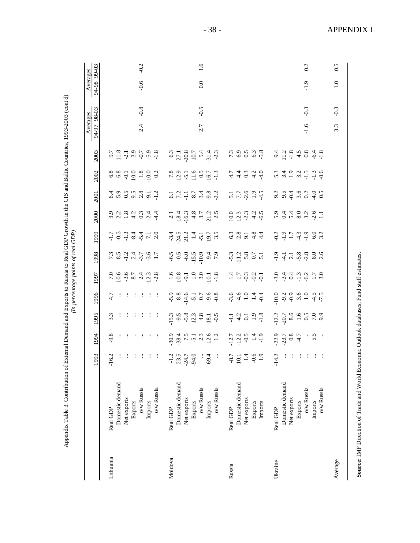|           |                       | 993                                                      | 1994                                             | 1995                                                      | 1996                                                                                                                                                                                                                                                                                                  | 1997                                                                                                                                                                                                                                                                                                          | 1998                                 | 1999                                                                                                                                                                                                                                                          | 2000                                                                       | 2001                                            | 2002                                                    | 2003                                                                    | Averages<br>94-97 | $\frac{6}{98-03}$ | Averages<br>86-16 | 99-03  |
|-----------|-----------------------|----------------------------------------------------------|--------------------------------------------------|-----------------------------------------------------------|-------------------------------------------------------------------------------------------------------------------------------------------------------------------------------------------------------------------------------------------------------------------------------------------------------|---------------------------------------------------------------------------------------------------------------------------------------------------------------------------------------------------------------------------------------------------------------------------------------------------------------|--------------------------------------|---------------------------------------------------------------------------------------------------------------------------------------------------------------------------------------------------------------------------------------------------------------|----------------------------------------------------------------------------|-------------------------------------------------|---------------------------------------------------------|-------------------------------------------------------------------------|-------------------|-------------------|-------------------|--------|
| Lithuania | Real GDP              | 6.2<br>$\blacksquare$                                    | 9.8                                              | 3.3                                                       | 4.7                                                                                                                                                                                                                                                                                                   |                                                                                                                                                                                                                                                                                                               |                                      |                                                                                                                                                                                                                                                               |                                                                            |                                                 |                                                         |                                                                         |                   |                   |                   |        |
|           | Domestic demand       |                                                          |                                                  |                                                           |                                                                                                                                                                                                                                                                                                       |                                                                                                                                                                                                                                                                                                               |                                      |                                                                                                                                                                                                                                                               | $3.2824$<br>$3.4824$<br>$4.544$<br>$5.44$                                  | 6.999877                                        |                                                         | $9.78$<br>$1.39$<br>$1.99$<br>$1.99$<br>$1.89$<br>$1.99$                |                   |                   |                   |        |
|           | Net exports           |                                                          |                                                  |                                                           |                                                                                                                                                                                                                                                                                                       |                                                                                                                                                                                                                                                                                                               |                                      |                                                                                                                                                                                                                                                               |                                                                            |                                                 |                                                         |                                                                         |                   |                   |                   |        |
|           | Exports               |                                                          |                                                  |                                                           |                                                                                                                                                                                                                                                                                                       |                                                                                                                                                                                                                                                                                                               |                                      |                                                                                                                                                                                                                                                               |                                                                            |                                                 |                                                         |                                                                         |                   |                   |                   |        |
|           | $o/w$ Russia          |                                                          |                                                  |                                                           |                                                                                                                                                                                                                                                                                                       |                                                                                                                                                                                                                                                                                                               |                                      |                                                                                                                                                                                                                                                               |                                                                            |                                                 |                                                         |                                                                         | 2.4               | $-0.8$            | $-0.6$            | $-0.2$ |
|           | Imports               |                                                          |                                                  |                                                           |                                                                                                                                                                                                                                                                                                       |                                                                                                                                                                                                                                                                                                               |                                      |                                                                                                                                                                                                                                                               |                                                                            |                                                 |                                                         |                                                                         |                   |                   |                   |        |
|           | $o/w$ Russia          | 生生生生生生                                                   | 生生生生生生                                           | 生生生主主主                                                    |                                                                                                                                                                                                                                                                                                       | $7.9667$<br>$10.697$<br>$8.747$<br>$10.38$                                                                                                                                                                                                                                                                    |                                      |                                                                                                                                                                                                                                                               |                                                                            |                                                 | $6880000000000000$                                      |                                                                         |                   |                   |                   |        |
| Moldova   | Real GDP              |                                                          |                                                  |                                                           |                                                                                                                                                                                                                                                                                                       |                                                                                                                                                                                                                                                                                                               |                                      |                                                                                                                                                                                                                                                               |                                                                            |                                                 |                                                         |                                                                         |                   |                   |                   |        |
|           | Domestic demand       |                                                          |                                                  |                                                           | $5,8$<br>$-3$<br>$-1$<br>$-5$<br>$-5$<br>$-5$<br>$-5$<br>$-5$<br>$-5$<br>$-5$<br>$-5$<br>$-5$<br>$-5$<br>$-5$<br>$-5$<br>$-5$<br>$-5$<br>$-5$<br>$-5$<br>$-5$<br>$-5$<br>$-5$<br>$-5$<br>$-5$<br>$-5$<br>$-5$<br>$-5$<br>$-5$<br>$-5$<br>$-5$<br>$-5$<br>$-5$<br>$-5$<br>$-5$<br>$-5$<br>$-5$<br>$-5$ | $\begin{array}{c} 1.6 \\ 1.08 \\ 1.01 \\ 1.01 \\ 1.01 \\ 1.01 \\ 1.01 \\ 1.01 \\ 1.01 \\ 1.01 \\ 1.01 \\ 1.01 \\ 1.01 \\ 1.01 \\ 1.01 \\ 1.01 \\ 1.01 \\ 1.01 \\ 1.01 \\ 1.01 \\ 1.01 \\ 1.01 \\ 1.01 \\ 1.01 \\ 1.01 \\ 1.01 \\ 1.01 \\ 1.01 \\ 1.01 \\ 1.01 \\ 1.01 \\ 1.01 \\ 1.01 \\ 1.01 \\ 1.01 \\ 1.0$ | 6500000000000                        |                                                                                                                                                                                                                                                               | $\begin{array}{c} 2.1 \\ 18.4 \\ 19.6 \\ 4.8 \\ 7.7 \\ 2.3 \\ \end{array}$ | $6.1$<br>$7.1$ $7.7$<br>$8.7$<br>$9.2$<br>$9.2$ | $7.3$<br>$12.5$<br>$15.6$<br>$15.7$<br>$15.7$<br>$15.7$ | $6.3$<br>$27.1$<br>$20.7$<br>$10.7$<br>$7.4$<br>$7.3$<br>$7.4$<br>$7.3$ |                   |                   |                   |        |
|           | Net exports           |                                                          |                                                  |                                                           |                                                                                                                                                                                                                                                                                                       |                                                                                                                                                                                                                                                                                                               |                                      |                                                                                                                                                                                                                                                               |                                                                            |                                                 |                                                         |                                                                         |                   |                   |                   |        |
|           | Exports               |                                                          |                                                  |                                                           |                                                                                                                                                                                                                                                                                                       |                                                                                                                                                                                                                                                                                                               |                                      |                                                                                                                                                                                                                                                               |                                                                            |                                                 |                                                         |                                                                         |                   |                   |                   |        |
|           | $\mathrm{o/w}$ Russia |                                                          |                                                  |                                                           |                                                                                                                                                                                                                                                                                                       |                                                                                                                                                                                                                                                                                                               |                                      |                                                                                                                                                                                                                                                               |                                                                            |                                                 |                                                         |                                                                         | 2.7               | $-0.5$            | $0.0\,$           | 1.6    |
|           | Imports               |                                                          |                                                  |                                                           |                                                                                                                                                                                                                                                                                                       |                                                                                                                                                                                                                                                                                                               |                                      |                                                                                                                                                                                                                                                               |                                                                            |                                                 |                                                         |                                                                         |                   |                   |                   |        |
|           | $\rm o/w$ Russia      | $77.9$<br>$77.9$<br>$77.9$<br>$78.9$<br>$79.9$<br>$69.9$ |                                                  | $15.9$ $9.8$ $0.3$ $4.8$ $0.5$ $0.5$                      |                                                                                                                                                                                                                                                                                                       |                                                                                                                                                                                                                                                                                                               |                                      |                                                                                                                                                                                                                                                               |                                                                            |                                                 |                                                         |                                                                         |                   |                   |                   |        |
| Russia    | Real GDP              |                                                          |                                                  | $77.37 - 9.8$                                             | $-9.6$<br>$-9.6$<br>$-1.4$<br>$-9.6$                                                                                                                                                                                                                                                                  | $1.7$ $-0.2$ $-0.1$                                                                                                                                                                                                                                                                                           | $-5.3$<br>$-1.2$<br>$-5.8$<br>$-5.1$ |                                                                                                                                                                                                                                                               | $0.023$<br>$0.033$<br>$0.045$<br>$0.05$                                    |                                                 |                                                         |                                                                         |                   |                   |                   |        |
|           | Domestic demand       | $\overline{\phantom{a}}$                                 |                                                  |                                                           |                                                                                                                                                                                                                                                                                                       |                                                                                                                                                                                                                                                                                                               |                                      |                                                                                                                                                                                                                                                               |                                                                            |                                                 |                                                         |                                                                         |                   |                   |                   |        |
|           | Net exports           | $-8.7$<br>$-1.4$<br>$-6.9$<br>$-1.9$                     |                                                  |                                                           |                                                                                                                                                                                                                                                                                                       |                                                                                                                                                                                                                                                                                                               |                                      | 699244                                                                                                                                                                                                                                                        |                                                                            | 5.759999                                        | 44044<br>44044                                          | 7. 9. 9. 9. 9.<br>7. 9. 9. 9. 9. 9.                                     |                   |                   |                   |        |
|           | Exports               |                                                          |                                                  |                                                           |                                                                                                                                                                                                                                                                                                       |                                                                                                                                                                                                                                                                                                               |                                      |                                                                                                                                                                                                                                                               |                                                                            |                                                 |                                                         |                                                                         |                   |                   |                   |        |
|           | Imports               |                                                          |                                                  |                                                           |                                                                                                                                                                                                                                                                                                       |                                                                                                                                                                                                                                                                                                               |                                      |                                                                                                                                                                                                                                                               |                                                                            |                                                 |                                                         |                                                                         |                   |                   |                   |        |
| Ukraine   | Real GDP              | 14.2<br>$\mathbf{r}$                                     | $-22.7$<br>$-23.7$<br>$-3.7$<br>$+3.5$<br>$-5.5$ | $12.2$<br>$-20.7$<br>$-8.6$<br>$-6.5$<br>$-6.9$<br>$-6.9$ | $10.0$<br>$-9.2$<br>$-9.3$<br>$-9.5$<br>$-1.5$<br>$-1.5$<br>$-7.5$                                                                                                                                                                                                                                    | 304492720                                                                                                                                                                                                                                                                                                     | 9.7788806                            | $\begin{array}{c} 0.997140000\\ 0.99744000\\ 0.997400\\ 0.99900\\ 0.99900\\ 0.99900\\ 0.99900\\ 0.99900\\ 0.99900\\ 0.99900\\ 0.99900\\ 0.99900\\ 0.99900\\ 0.99900\\ 0.99900\\ 0.99900\\ 0.99900\\ 0.99900\\ 0.99900\\ 0.99900\\ 0.99900\\ 0.99900\\ 0.9990$ |                                                                            |                                                 |                                                         |                                                                         |                   |                   |                   |        |
|           | Domestic demand       |                                                          |                                                  |                                                           |                                                                                                                                                                                                                                                                                                       |                                                                                                                                                                                                                                                                                                               |                                      |                                                                                                                                                                                                                                                               | 0. 4. 4. 0. 0. 0. 1.<br>0. 4. 4. 0. 0. 0. 1.                               | 3.549299                                        |                                                         |                                                                         |                   |                   |                   |        |
|           | Net exports           |                                                          |                                                  |                                                           |                                                                                                                                                                                                                                                                                                       |                                                                                                                                                                                                                                                                                                               |                                      |                                                                                                                                                                                                                                                               |                                                                            |                                                 |                                                         |                                                                         |                   |                   |                   |        |
|           | Exports               |                                                          |                                                  |                                                           |                                                                                                                                                                                                                                                                                                       |                                                                                                                                                                                                                                                                                                               |                                      |                                                                                                                                                                                                                                                               |                                                                            |                                                 |                                                         |                                                                         |                   |                   |                   |        |
|           | $\mathrm{o/w}$ Russia |                                                          |                                                  |                                                           |                                                                                                                                                                                                                                                                                                       |                                                                                                                                                                                                                                                                                                               |                                      |                                                                                                                                                                                                                                                               |                                                                            |                                                 |                                                         |                                                                         | $-1.6$            | $-0.3$            | $-1.9$            | 0.2    |
|           | Imports               | 注目 主任 主任                                                 |                                                  |                                                           |                                                                                                                                                                                                                                                                                                       |                                                                                                                                                                                                                                                                                                               |                                      |                                                                                                                                                                                                                                                               |                                                                            |                                                 |                                                         |                                                                         |                   |                   |                   |        |
|           | $\rm o/w$ Russia      |                                                          |                                                  |                                                           |                                                                                                                                                                                                                                                                                                       |                                                                                                                                                                                                                                                                                                               |                                      |                                                                                                                                                                                                                                                               |                                                                            |                                                 |                                                         |                                                                         |                   |                   |                   |        |
| Average   |                       |                                                          |                                                  |                                                           |                                                                                                                                                                                                                                                                                                       |                                                                                                                                                                                                                                                                                                               |                                      |                                                                                                                                                                                                                                                               |                                                                            |                                                 |                                                         |                                                                         | 3.3               | $-0.3$            | $\overline{1.0}$  | 6.5    |

Appendix Table 3. Contribution of External Demand and Exports to Russia to Real GDP Growth in the CIS and Baltic Countries, 1993-2003 (cont'd)

- 38 - APPENDIX I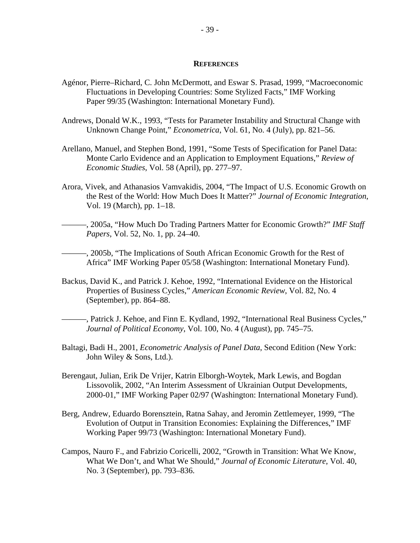#### **REFERENCES**

- Agénor, Pierre–Richard, C. John McDermott, and Eswar S. Prasad, 1999, "Macroeconomic Fluctuations in Developing Countries: Some Stylized Facts," IMF Working Paper 99/35 (Washington: International Monetary Fund).
- Andrews, Donald W.K., 1993, "Tests for Parameter Instability and Structural Change with Unknown Change Point," *Econometrica*, Vol. 61, No. 4 (July), pp. 821–56.
- Arellano, Manuel, and Stephen Bond, 1991, "Some Tests of Specification for Panel Data: Monte Carlo Evidence and an Application to Employment Equations," *Review of Economic Studies*, Vol. 58 (April), pp. 277–97.
- Arora, Vivek, and Athanasios Vamvakidis, 2004, "The Impact of U.S. Economic Growth on the Rest of the World: How Much Does It Matter?" *Journal of Economic Integration*, Vol. 19 (March), pp. 1–18.
- ———, 2005a, "How Much Do Trading Partners Matter for Economic Growth?" *IMF Staff Papers*, Vol. 52, No. 1, pp. 24–40.
- ———, 2005b, "The Implications of South African Economic Growth for the Rest of Africa" IMF Working Paper 05/58 (Washington: International Monetary Fund).
- Backus, David K., and Patrick J. Kehoe, 1992, "International Evidence on the Historical Properties of Business Cycles," *American Economic Review*, Vol. 82, No. 4 (September), pp. 864–88.
- ———, Patrick J. Kehoe, and Finn E. Kydland, 1992, "International Real Business Cycles," *Journal of Political Economy*, Vol. 100, No. 4 (August), pp. 745–75.
- Baltagi, Badi H., 2001, *Econometric Analysis of Panel Data*, Second Edition (New York: John Wiley & Sons, Ltd.).
- Berengaut, Julian, Erik De Vrijer, Katrin Elborgh-Woytek, Mark Lewis, and Bogdan Lissovolik, 2002, "An Interim Assessment of Ukrainian Output Developments, 2000-01," IMF Working Paper 02/97 (Washington: International Monetary Fund).
- Berg, Andrew, Eduardo Borensztein, Ratna Sahay, and Jeromin Zettlemeyer, 1999, "The Evolution of Output in Transition Economies: Explaining the Differences," IMF Working Paper 99/73 (Washington: International Monetary Fund).
- Campos, Nauro F., and Fabrizio Coricelli, 2002, "Growth in Transition: What We Know, What We Don't, and What We Should," *Journal of Economic Literature*, Vol. 40, No. 3 (September), pp. 793–836.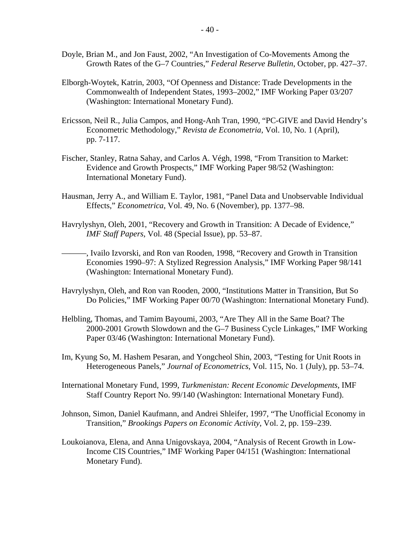- Doyle, Brian M., and Jon Faust, 2002, "An Investigation of Co-Movements Among the Growth Rates of the G–7 Countries," *Federal Reserve Bulletin*, October, pp. 427–37.
- Elborgh-Woytek, Katrin, 2003, "Of Openness and Distance: Trade Developments in the Commonwealth of Independent States, 1993–2002," IMF Working Paper 03/207 (Washington: International Monetary Fund).
- Ericsson, Neil R., Julia Campos, and Hong-Anh Tran, 1990, "PC-GIVE and David Hendry's Econometric Methodology," *Revista de Econometria*, Vol. 10, No. 1 (April), pp. 7-117.
- Fischer, Stanley, Ratna Sahay, and Carlos A. Végh, 1998, "From Transition to Market: Evidence and Growth Prospects," IMF Working Paper 98/52 (Washington: International Monetary Fund).
- Hausman, Jerry A., and William E. Taylor, 1981, "Panel Data and Unobservable Individual Effects," *Econometrica*, Vol. 49, No. 6 (November), pp. 1377–98.
- Havrylyshyn, Oleh, 2001, "Recovery and Growth in Transition: A Decade of Evidence," *IMF Staff Papers*, Vol. 48 (Special Issue), pp. 53–87.

———, Ivailo Izvorski, and Ron van Rooden, 1998, "Recovery and Growth in Transition Economies 1990–97: A Stylized Regression Analysis," IMF Working Paper 98/141 (Washington: International Monetary Fund).

- Havrylyshyn, Oleh, and Ron van Rooden, 2000, "Institutions Matter in Transition, But So Do Policies," IMF Working Paper 00/70 (Washington: International Monetary Fund).
- Helbling, Thomas, and Tamim Bayoumi, 2003, "Are They All in the Same Boat? The 2000-2001 Growth Slowdown and the G–7 Business Cycle Linkages," IMF Working Paper 03/46 (Washington: International Monetary Fund).
- Im, Kyung So, M. Hashem Pesaran, and Yongcheol Shin, 2003, "Testing for Unit Roots in Heterogeneous Panels," *Journal of Econometrics*, Vol. 115, No. 1 (July), pp. 53–74.
- International Monetary Fund, 1999, *Turkmenistan: Recent Economic Developments*, IMF Staff Country Report No. 99/140 (Washington: International Monetary Fund).
- Johnson, Simon, Daniel Kaufmann, and Andrei Shleifer, 1997, "The Unofficial Economy in Transition," *Brookings Papers on Economic Activity*, Vol. 2, pp. 159–239.
- Loukoianova, Elena, and Anna Unigovskaya, 2004, "Analysis of Recent Growth in Low-Income CIS Countries," IMF Working Paper 04/151 (Washington: International Monetary Fund).